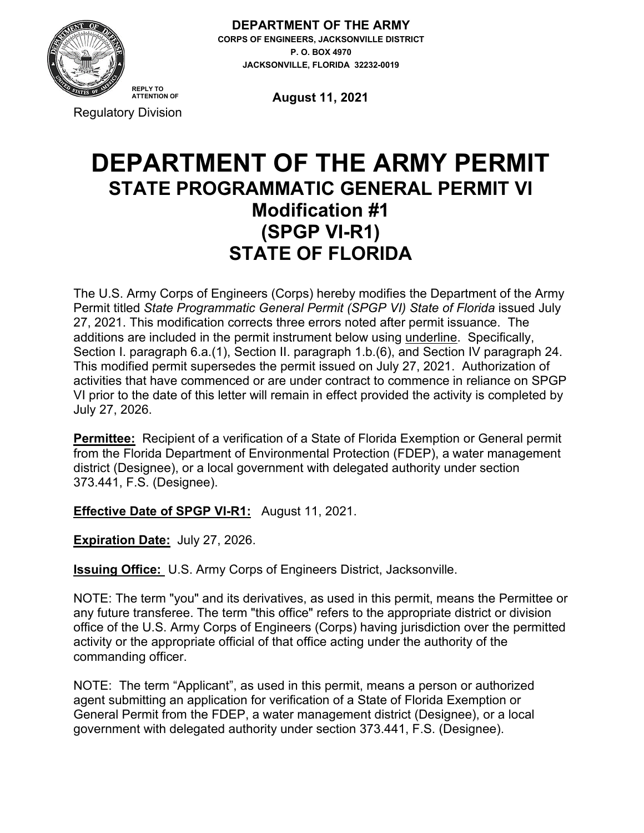

**DEPARTMENT OF THE ARMY CORPS OF ENGINEERS, JACKSONVILLE DISTRICT P. O. BOX 4970 JACKSONVILLE, FLORIDA 32232-0019**

Regulatory Division

**August 11, 2021**

# **DEPARTMENT OF THE ARMY PERMIT STATE PROGRAMMATIC GENERAL PERMIT VI Modification #1 (SPGP VI-R1) STATE OF FLORIDA**

The U.S. Army Corps of Engineers (Corps) hereby modifies the Department of the Army Permit titled *State Programmatic General Permit (SPGP VI) State of Florida* issued July 27, 2021. This modification corrects three errors noted after permit issuance. The additions are included in the permit instrument below using underline. Specifically, Section I. paragraph 6.a.(1), Section II. paragraph 1.b.(6), and Section IV paragraph 24. This modified permit supersedes the permit issued on July 27, 2021. Authorization of activities that have commenced or are under contract to commence in reliance on SPGP VI prior to the date of this letter will remain in effect provided the activity is completed by July 27, 2026.

**Permittee:** Recipient of a verification of a State of Florida Exemption or General permit from the Florida Department of Environmental Protection (FDEP), a water management district (Designee), or a local government with delegated authority under section 373.441, F.S. (Designee).

**Effective Date of SPGP VI-R1:** August 11, 2021.

**Expiration Date:** July 27, 2026.

**Issuing Office:** U.S. Army Corps of Engineers District, Jacksonville.

NOTE: The term "you" and its derivatives, as used in this permit, means the Permittee or any future transferee. The term "this office" refers to the appropriate district or division office of the U.S. Army Corps of Engineers (Corps) having jurisdiction over the permitted activity or the appropriate official of that office acting under the authority of the commanding officer.

NOTE: The term "Applicant", as used in this permit, means a person or authorized agent submitting an application for verification of a State of Florida Exemption or General Permit from the FDEP, a water management district (Designee), or a local government with delegated authority under section 373.441, F.S. (Designee).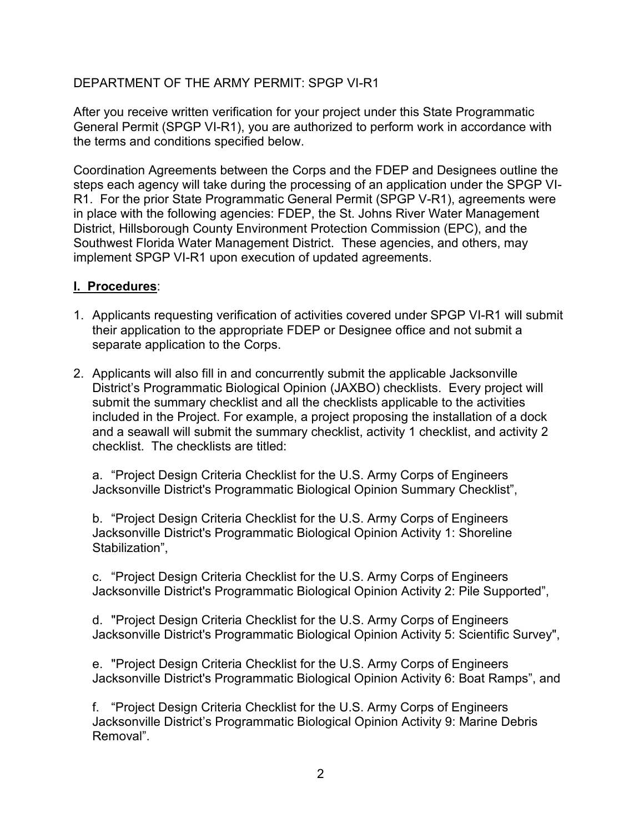After you receive written verification for your project under this State Programmatic General Permit (SPGP VI-R1), you are authorized to perform work in accordance with the terms and conditions specified below.

Coordination Agreements between the Corps and the FDEP and Designees outline the steps each agency will take during the processing of an application under the SPGP VI-R1. For the prior State Programmatic General Permit (SPGP V-R1), agreements were in place with the following agencies: FDEP, the St. Johns River Water Management District, Hillsborough County Environment Protection Commission (EPC), and the Southwest Florida Water Management District. These agencies, and others, may implement SPGP VI-R1 upon execution of updated agreements.

#### **I. Procedures**:

- 1. Applicants requesting verification of activities covered under SPGP VI-R1 will submit their application to the appropriate FDEP or Designee office and not submit a separate application to the Corps.
- 2. Applicants will also fill in and concurrently submit the applicable Jacksonville District's Programmatic Biological Opinion (JAXBO) checklists. Every project will submit the summary checklist and all the checklists applicable to the activities included in the Project. For example, a project proposing the installation of a dock and a seawall will submit the summary checklist, activity 1 checklist, and activity 2 checklist. The checklists are titled:

a. "Project Design Criteria Checklist for the U.S. Army Corps of Engineers Jacksonville District's Programmatic Biological Opinion Summary Checklist",

b. "Project Design Criteria Checklist for the U.S. Army Corps of Engineers Jacksonville District's Programmatic Biological Opinion Activity 1: Shoreline Stabilization",

c. "Project Design Criteria Checklist for the U.S. Army Corps of Engineers Jacksonville District's Programmatic Biological Opinion Activity 2: Pile Supported",

d. "Project Design Criteria Checklist for the U.S. Army Corps of Engineers Jacksonville District's Programmatic Biological Opinion Activity 5: Scientific Survey",

e. "Project Design Criteria Checklist for the U.S. Army Corps of Engineers Jacksonville District's Programmatic Biological Opinion Activity 6: Boat Ramps", and

f. "Project Design Criteria Checklist for the U.S. Army Corps of Engineers Jacksonville District's Programmatic Biological Opinion Activity 9: Marine Debris Removal".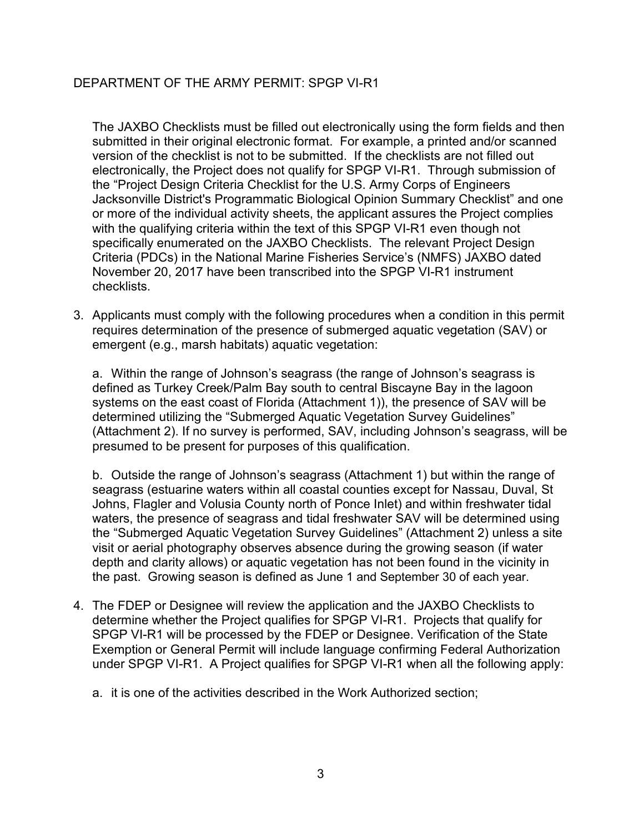The JAXBO Checklists must be filled out electronically using the form fields and then submitted in their original electronic format. For example, a printed and/or scanned version of the checklist is not to be submitted. If the checklists are not filled out electronically, the Project does not qualify for SPGP VI-R1. Through submission of the "Project Design Criteria Checklist for the U.S. Army Corps of Engineers Jacksonville District's Programmatic Biological Opinion Summary Checklist" and one or more of the individual activity sheets, the applicant assures the Project complies with the qualifying criteria within the text of this SPGP VI-R1 even though not specifically enumerated on the JAXBO Checklists. The relevant Project Design Criteria (PDCs) in the National Marine Fisheries Service's (NMFS) JAXBO dated November 20, 2017 have been transcribed into the SPGP VI-R1 instrument checklists.

3. Applicants must comply with the following procedures when a condition in this permit requires determination of the presence of submerged aquatic vegetation (SAV) or emergent (e.g., marsh habitats) aquatic vegetation:

a. Within the range of Johnson's seagrass (the range of Johnson's seagrass is defined as Turkey Creek/Palm Bay south to central Biscayne Bay in the lagoon systems on the east coast of Florida (Attachment 1)), the presence of SAV will be determined utilizing the "Submerged Aquatic Vegetation Survey Guidelines" (Attachment 2). If no survey is performed, SAV, including Johnson's seagrass, will be presumed to be present for purposes of this qualification.

b. Outside the range of Johnson's seagrass (Attachment 1) but within the range of seagrass (estuarine waters within all coastal counties except for Nassau, Duval, St Johns, Flagler and Volusia County north of Ponce Inlet) and within freshwater tidal waters, the presence of seagrass and tidal freshwater SAV will be determined using the "Submerged Aquatic Vegetation Survey Guidelines" (Attachment 2) unless a site visit or aerial photography observes absence during the growing season (if water depth and clarity allows) or aquatic vegetation has not been found in the vicinity in the past. Growing season is defined as June 1 and September 30 of each year.

4. The FDEP or Designee will review the application and the JAXBO Checklists to determine whether the Project qualifies for SPGP VI-R1. Projects that qualify for SPGP VI-R1 will be processed by the FDEP or Designee. Verification of the State Exemption or General Permit will include language confirming Federal Authorization under SPGP VI-R1. A Project qualifies for SPGP VI-R1 when all the following apply:

a. it is one of the activities described in the Work Authorized section;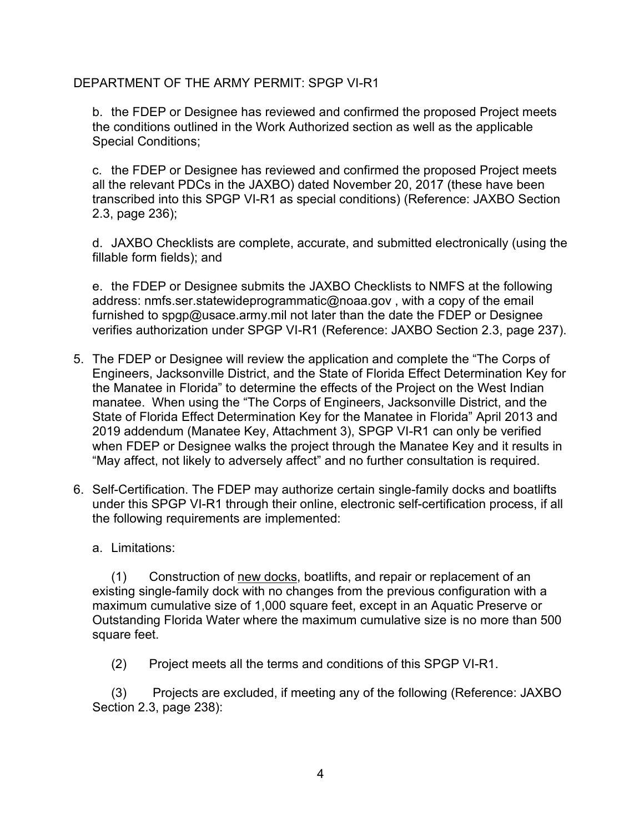b. the FDEP or Designee has reviewed and confirmed the proposed Project meets the conditions outlined in the Work Authorized section as well as the applicable Special Conditions;

c. the FDEP or Designee has reviewed and confirmed the proposed Project meets all the relevant PDCs in the JAXBO) dated November 20, 2017 (these have been transcribed into this SPGP VI-R1 as special conditions) (Reference: JAXBO Section 2.3, page 236);

d. JAXBO Checklists are complete, accurate, and submitted electronically (using the fillable form fields); and

e. the FDEP or Designee submits the JAXBO Checklists to NMFS at the following address: nmfs.ser.statewideprogrammatic@noaa.gov , with a copy of the email furnished to spgp@usace.army.mil not later than the date the FDEP or Designee verifies authorization under SPGP VI-R1 (Reference: JAXBO Section 2.3, page 237).

- 5. The FDEP or Designee will review the application and complete the "The Corps of Engineers, Jacksonville District, and the State of Florida Effect Determination Key for the Manatee in Florida" to determine the effects of the Project on the West Indian manatee. When using the "The Corps of Engineers, Jacksonville District, and the State of Florida Effect Determination Key for the Manatee in Florida" April 2013 and 2019 addendum (Manatee Key, Attachment 3), SPGP VI-R1 can only be verified when FDEP or Designee walks the project through the Manatee Key and it results in "May affect, not likely to adversely affect" and no further consultation is required.
- 6. Self-Certification. The FDEP may authorize certain single-family docks and boatlifts under this SPGP VI-R1 through their online, electronic self-certification process, if all the following requirements are implemented:

#### a. Limitations:

(1) Construction of new docks, boatlifts, and repair or replacement of an existing single-family dock with no changes from the previous configuration with a maximum cumulative size of 1,000 square feet, except in an Aquatic Preserve or Outstanding Florida Water where the maximum cumulative size is no more than 500 square feet.

(2) Project meets all the terms and conditions of this SPGP VI-R1.

(3) Projects are excluded, if meeting any of the following (Reference: JAXBO Section 2.3, page 238):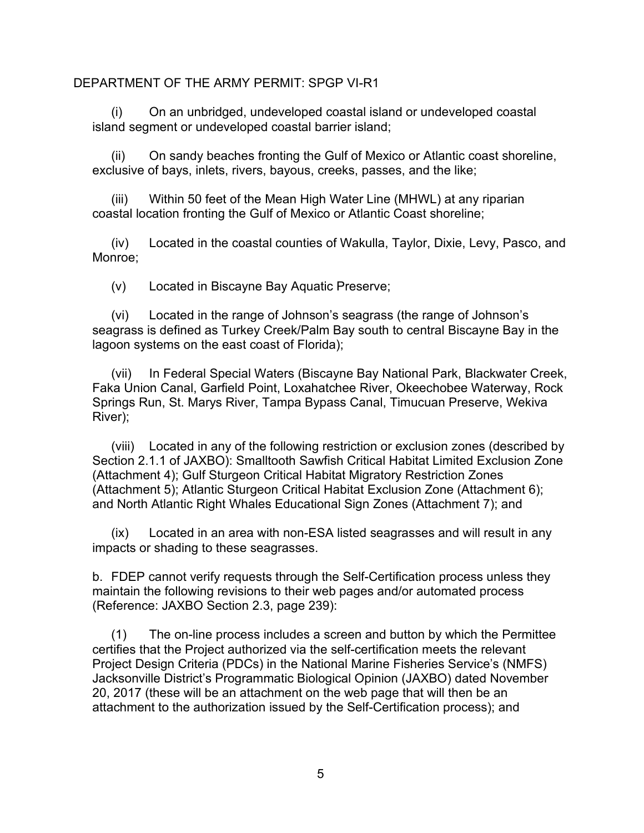(i) On an unbridged, undeveloped coastal island or undeveloped coastal island segment or undeveloped coastal barrier island;

(ii) On sandy beaches fronting the Gulf of Mexico or Atlantic coast shoreline, exclusive of bays, inlets, rivers, bayous, creeks, passes, and the like;

(iii) Within 50 feet of the Mean High Water Line (MHWL) at any riparian coastal location fronting the Gulf of Mexico or Atlantic Coast shoreline;

(iv) Located in the coastal counties of Wakulla, Taylor, Dixie, Levy, Pasco, and Monroe;

(v) Located in Biscayne Bay Aquatic Preserve;

(vi) Located in the range of Johnson's seagrass (the range of Johnson's seagrass is defined as Turkey Creek/Palm Bay south to central Biscayne Bay in the lagoon systems on the east coast of Florida);

(vii) In Federal Special Waters (Biscayne Bay National Park, Blackwater Creek, Faka Union Canal, Garfield Point, Loxahatchee River, Okeechobee Waterway, Rock Springs Run, St. Marys River, Tampa Bypass Canal, Timucuan Preserve, Wekiva River);

(viii) Located in any of the following restriction or exclusion zones (described by Section 2.1.1 of JAXBO): Smalltooth Sawfish Critical Habitat Limited Exclusion Zone (Attachment 4); Gulf Sturgeon Critical Habitat Migratory Restriction Zones (Attachment 5); Atlantic Sturgeon Critical Habitat Exclusion Zone (Attachment 6); and North Atlantic Right Whales Educational Sign Zones (Attachment 7); and

(ix) Located in an area with non-ESA listed seagrasses and will result in any impacts or shading to these seagrasses.

b. FDEP cannot verify requests through the Self-Certification process unless they maintain the following revisions to their web pages and/or automated process (Reference: JAXBO Section 2.3, page 239):

(1) The on-line process includes a screen and button by which the Permittee certifies that the Project authorized via the self-certification meets the relevant Project Design Criteria (PDCs) in the National Marine Fisheries Service's (NMFS) Jacksonville District's Programmatic Biological Opinion (JAXBO) dated November 20, 2017 (these will be an attachment on the web page that will then be an attachment to the authorization issued by the Self-Certification process); and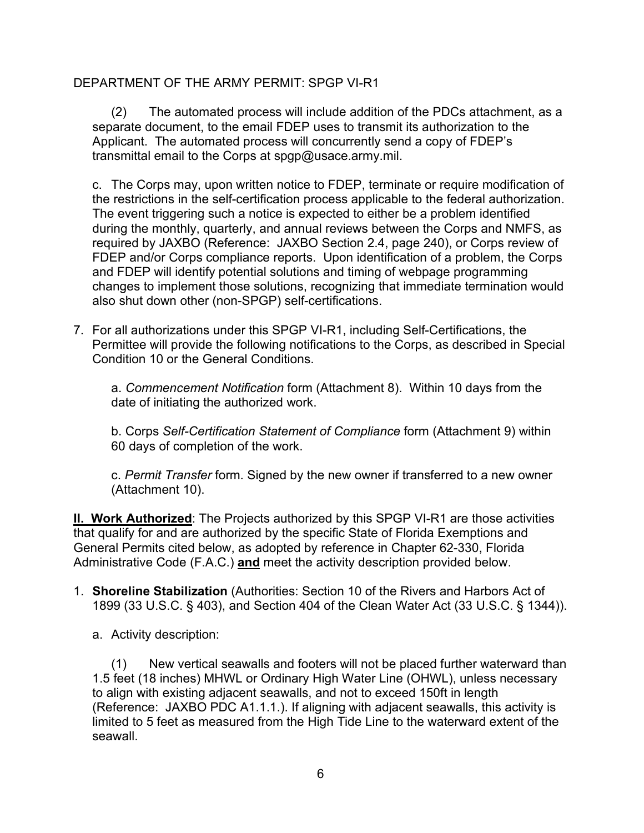(2) The automated process will include addition of the PDCs attachment, as a separate document, to the email FDEP uses to transmit its authorization to the Applicant. The automated process will concurrently send a copy of FDEP's transmittal email to the Corps at spgp@usace.army.mil.

c. The Corps may, upon written notice to FDEP, terminate or require modification of the restrictions in the self-certification process applicable to the federal authorization. The event triggering such a notice is expected to either be a problem identified during the monthly, quarterly, and annual reviews between the Corps and NMFS, as required by JAXBO (Reference: JAXBO Section 2.4, page 240), or Corps review of FDEP and/or Corps compliance reports. Upon identification of a problem, the Corps and FDEP will identify potential solutions and timing of webpage programming changes to implement those solutions, recognizing that immediate termination would also shut down other (non-SPGP) self-certifications.

7. For all authorizations under this SPGP VI-R1, including Self-Certifications, the Permittee will provide the following notifications to the Corps, as described in Special Condition 10 or the General Conditions.

a. *Commencement Notification* form (Attachment 8). Within 10 days from the date of initiating the authorized work.

b. Corps *Self-Certification Statement of Compliance* form (Attachment 9) within 60 days of completion of the work.

c. *Permit Transfer* form. Signed by the new owner if transferred to a new owner (Attachment 10).

**II. Work Authorized**: The Projects authorized by this SPGP VI-R1 are those activities that qualify for and are authorized by the specific State of Florida Exemptions and General Permits cited below, as adopted by reference in Chapter 62-330, Florida Administrative Code (F.A.C.) **and** meet the activity description provided below.

- 1. **Shoreline Stabilization** (Authorities: Section 10 of the Rivers and Harbors Act of 1899 (33 U.S.C. § 403), and Section 404 of the Clean Water Act (33 U.S.C. § 1344)).
	- a. Activity description:

(1) New vertical seawalls and footers will not be placed further waterward than 1.5 feet (18 inches) MHWL or Ordinary High Water Line (OHWL), unless necessary to align with existing adjacent seawalls, and not to exceed 150ft in length (Reference: JAXBO PDC A1.1.1.). If aligning with adjacent seawalls, this activity is limited to 5 feet as measured from the High Tide Line to the waterward extent of the seawall.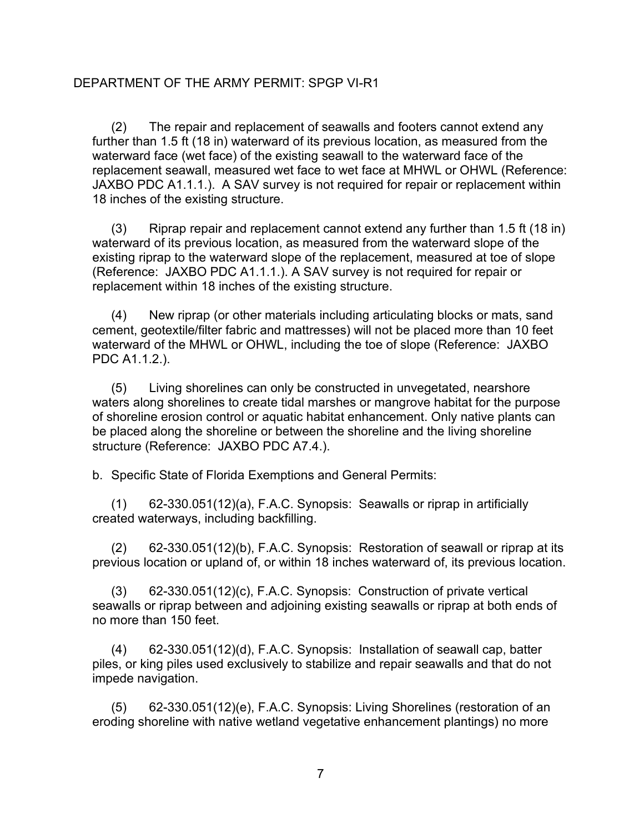(2) The repair and replacement of seawalls and footers cannot extend any further than 1.5 ft (18 in) waterward of its previous location, as measured from the waterward face (wet face) of the existing seawall to the waterward face of the replacement seawall, measured wet face to wet face at MHWL or OHWL (Reference: JAXBO PDC A1.1.1.). A SAV survey is not required for repair or replacement within 18 inches of the existing structure.

(3) Riprap repair and replacement cannot extend any further than 1.5 ft (18 in) waterward of its previous location, as measured from the waterward slope of the existing riprap to the waterward slope of the replacement, measured at toe of slope (Reference: JAXBO PDC A1.1.1.). A SAV survey is not required for repair or replacement within 18 inches of the existing structure.

(4) New riprap (or other materials including articulating blocks or mats, sand cement, geotextile/filter fabric and mattresses) will not be placed more than 10 feet waterward of the MHWL or OHWL, including the toe of slope (Reference: JAXBO PDC A1.1.2.).

(5) Living shorelines can only be constructed in unvegetated, nearshore waters along shorelines to create tidal marshes or mangrove habitat for the purpose of shoreline erosion control or aquatic habitat enhancement. Only native plants can be placed along the shoreline or between the shoreline and the living shoreline structure (Reference: JAXBO PDC A7.4.).

b. Specific State of Florida Exemptions and General Permits:

(1) 62-330.051(12)(a), F.A.C. Synopsis: Seawalls or riprap in artificially created waterways, including backfilling.

(2) 62-330.051(12)(b), F.A.C. Synopsis: Restoration of seawall or riprap at its previous location or upland of, or within 18 inches waterward of, its previous location.

(3) 62-330.051(12)(c), F.A.C. Synopsis: Construction of private vertical seawalls or riprap between and adjoining existing seawalls or riprap at both ends of no more than 150 feet.

(4) 62-330.051(12)(d), F.A.C. Synopsis: Installation of seawall cap, batter piles, or king piles used exclusively to stabilize and repair seawalls and that do not impede navigation.

(5) 62-330.051(12)(e), F.A.C. Synopsis: Living Shorelines (restoration of an eroding shoreline with native wetland vegetative enhancement plantings) no more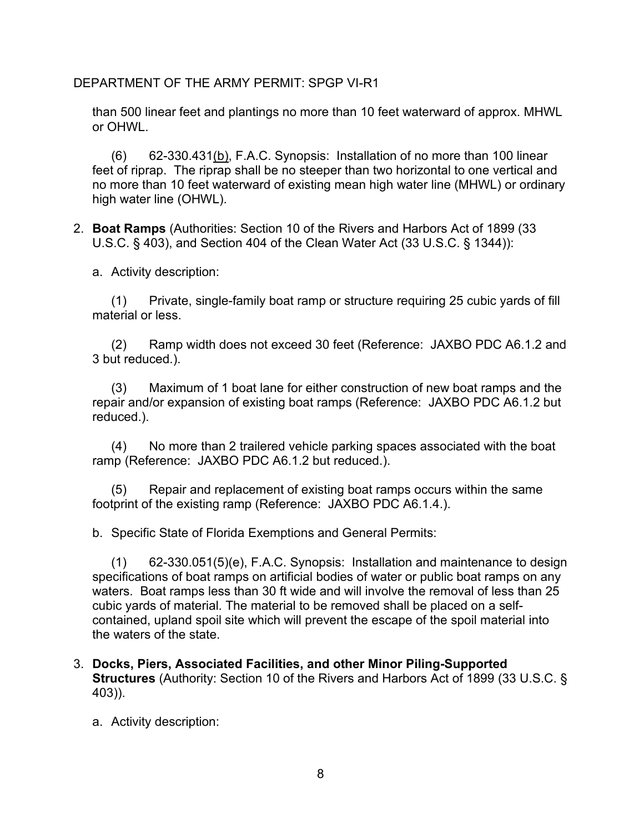than 500 linear feet and plantings no more than 10 feet waterward of approx. MHWL or OHWL.

 $(6)$  62-330.431(b), F.A.C. Synopsis: Installation of no more than 100 linear feet of riprap. The riprap shall be no steeper than two horizontal to one vertical and no more than 10 feet waterward of existing mean high water line (MHWL) or ordinary high water line (OHWL).

2. **Boat Ramps** (Authorities: Section 10 of the Rivers and Harbors Act of 1899 (33 U.S.C. § 403), and Section 404 of the Clean Water Act (33 U.S.C. § 1344)):

a. Activity description:

(1) Private, single-family boat ramp or structure requiring 25 cubic yards of fill material or less.

(2) Ramp width does not exceed 30 feet (Reference: JAXBO PDC A6.1.2 and 3 but reduced.).

(3) Maximum of 1 boat lane for either construction of new boat ramps and the repair and/or expansion of existing boat ramps (Reference: JAXBO PDC A6.1.2 but reduced.).

(4) No more than 2 trailered vehicle parking spaces associated with the boat ramp (Reference: JAXBO PDC A6.1.2 but reduced.).

(5) Repair and replacement of existing boat ramps occurs within the same footprint of the existing ramp (Reference: JAXBO PDC A6.1.4.).

b. Specific State of Florida Exemptions and General Permits:

(1) 62-330.051(5)(e), F.A.C. Synopsis: Installation and maintenance to design specifications of boat ramps on artificial bodies of water or public boat ramps on any waters. Boat ramps less than 30 ft wide and will involve the removal of less than 25 cubic yards of material. The material to be removed shall be placed on a selfcontained, upland spoil site which will prevent the escape of the spoil material into the waters of the state.

3. **Docks, Piers, Associated Facilities, and other Minor Piling-Supported Structures** (Authority: Section 10 of the Rivers and Harbors Act of 1899 (33 U.S.C. § 403)).

a. Activity description: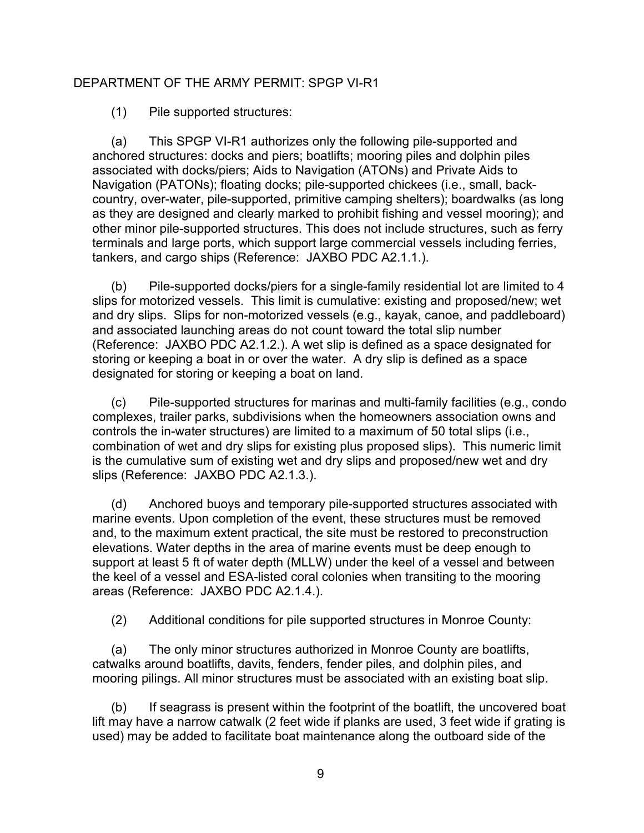(1) Pile supported structures:

(a) This SPGP VI-R1 authorizes only the following pile-supported and anchored structures: docks and piers; boatlifts; mooring piles and dolphin piles associated with docks/piers; Aids to Navigation (ATONs) and Private Aids to Navigation (PATONs); floating docks; pile-supported chickees (i.e., small, backcountry, over-water, pile-supported, primitive camping shelters); boardwalks (as long as they are designed and clearly marked to prohibit fishing and vessel mooring); and other minor pile-supported structures. This does not include structures, such as ferry terminals and large ports, which support large commercial vessels including ferries, tankers, and cargo ships (Reference: JAXBO PDC A2.1.1.).

(b) Pile-supported docks/piers for a single-family residential lot are limited to 4 slips for motorized vessels. This limit is cumulative: existing and proposed/new; wet and dry slips. Slips for non-motorized vessels (e.g., kayak, canoe, and paddleboard) and associated launching areas do not count toward the total slip number (Reference: JAXBO PDC A2.1.2.). A wet slip is defined as a space designated for storing or keeping a boat in or over the water. A dry slip is defined as a space designated for storing or keeping a boat on land.

(c) Pile-supported structures for marinas and multi-family facilities (e.g., condo complexes, trailer parks, subdivisions when the homeowners association owns and controls the in-water structures) are limited to a maximum of 50 total slips (i.e., combination of wet and dry slips for existing plus proposed slips). This numeric limit is the cumulative sum of existing wet and dry slips and proposed/new wet and dry slips (Reference: JAXBO PDC A2.1.3.).

(d) Anchored buoys and temporary pile-supported structures associated with marine events. Upon completion of the event, these structures must be removed and, to the maximum extent practical, the site must be restored to preconstruction elevations. Water depths in the area of marine events must be deep enough to support at least 5 ft of water depth (MLLW) under the keel of a vessel and between the keel of a vessel and ESA-listed coral colonies when transiting to the mooring areas (Reference: JAXBO PDC A2.1.4.).

(2) Additional conditions for pile supported structures in Monroe County:

(a) The only minor structures authorized in Monroe County are boatlifts, catwalks around boatlifts, davits, fenders, fender piles, and dolphin piles, and mooring pilings. All minor structures must be associated with an existing boat slip.

(b) If seagrass is present within the footprint of the boatlift, the uncovered boat lift may have a narrow catwalk (2 feet wide if planks are used, 3 feet wide if grating is used) may be added to facilitate boat maintenance along the outboard side of the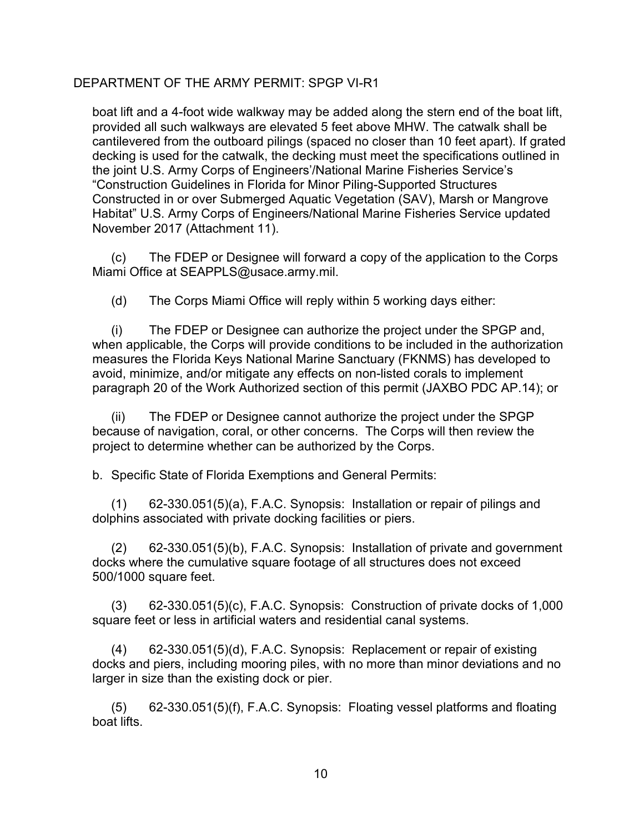boat lift and a 4-foot wide walkway may be added along the stern end of the boat lift, provided all such walkways are elevated 5 feet above MHW. The catwalk shall be cantilevered from the outboard pilings (spaced no closer than 10 feet apart). If grated decking is used for the catwalk, the decking must meet the specifications outlined in the joint U.S. Army Corps of Engineers'/National Marine Fisheries Service's "Construction Guidelines in Florida for Minor Piling-Supported Structures Constructed in or over Submerged Aquatic Vegetation (SAV), Marsh or Mangrove Habitat" U.S. Army Corps of Engineers/National Marine Fisheries Service updated November 2017 (Attachment 11).

(c) The FDEP or Designee will forward a copy of the application to the Corps Miami Office at SEAPPLS@usace.army.mil.

(d) The Corps Miami Office will reply within 5 working days either:

(i) The FDEP or Designee can authorize the project under the SPGP and, when applicable, the Corps will provide conditions to be included in the authorization measures the Florida Keys National Marine Sanctuary (FKNMS) has developed to avoid, minimize, and/or mitigate any effects on non-listed corals to implement paragraph 20 of the Work Authorized section of this permit (JAXBO PDC AP.14); or

(ii) The FDEP or Designee cannot authorize the project under the SPGP because of navigation, coral, or other concerns. The Corps will then review the project to determine whether can be authorized by the Corps.

b. Specific State of Florida Exemptions and General Permits:

(1) 62-330.051(5)(a), F.A.C. Synopsis: Installation or repair of pilings and dolphins associated with private docking facilities or piers.

(2) 62-330.051(5)(b), F.A.C. Synopsis: Installation of private and government docks where the cumulative square footage of all structures does not exceed 500/1000 square feet.

(3) 62-330.051(5)(c), F.A.C. Synopsis: Construction of private docks of 1,000 square feet or less in artificial waters and residential canal systems.

(4) 62-330.051(5)(d), F.A.C. Synopsis: Replacement or repair of existing docks and piers, including mooring piles, with no more than minor deviations and no larger in size than the existing dock or pier.

(5) 62-330.051(5)(f), F.A.C. Synopsis: Floating vessel platforms and floating boat lifts.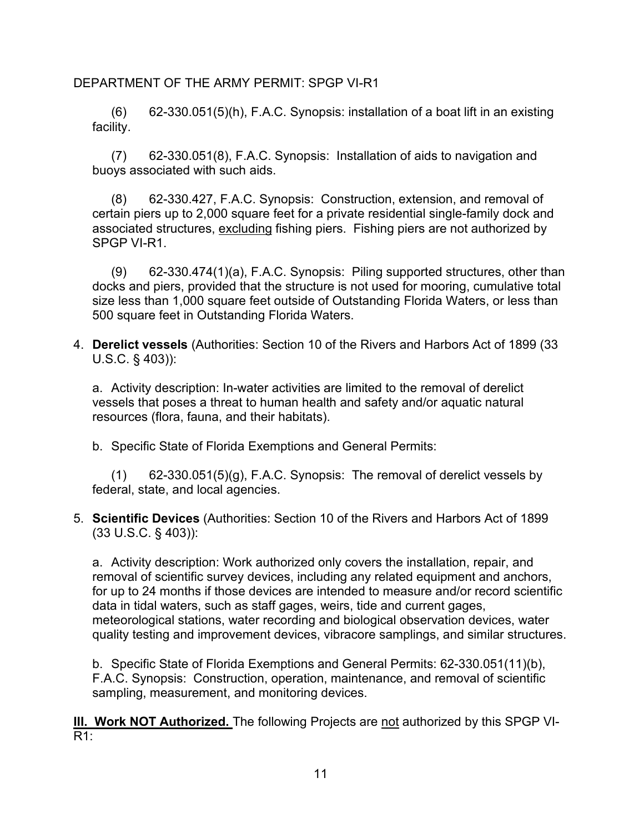$(6)$  62-330.051(5)(h), F.A.C. Synopsis: installation of a boat lift in an existing facility.

(7) 62-330.051(8), F.A.C. Synopsis: Installation of aids to navigation and buoys associated with such aids.

(8) 62-330.427, F.A.C. Synopsis: Construction, extension, and removal of certain piers up to 2,000 square feet for a private residential single-family dock and associated structures, excluding fishing piers. Fishing piers are not authorized by SPGP VI-R1.

(9) 62-330.474(1)(a), F.A.C. Synopsis: Piling supported structures, other than docks and piers, provided that the structure is not used for mooring, cumulative total size less than 1,000 square feet outside of Outstanding Florida Waters, or less than 500 square feet in Outstanding Florida Waters.

4. **Derelict vessels** (Authorities: Section 10 of the Rivers and Harbors Act of 1899 (33 U.S.C. § 403)):

a. Activity description: In-water activities are limited to the removal of derelict vessels that poses a threat to human health and safety and/or aquatic natural resources (flora, fauna, and their habitats).

b. Specific State of Florida Exemptions and General Permits:

(1) 62-330.051(5)(g), F.A.C. Synopsis: The removal of derelict vessels by federal, state, and local agencies.

#### 5. **Scientific Devices** (Authorities: Section 10 of the Rivers and Harbors Act of 1899 (33 U.S.C. § 403)):

a. Activity description: Work authorized only covers the installation, repair, and removal of scientific survey devices, including any related equipment and anchors, for up to 24 months if those devices are intended to measure and/or record scientific data in tidal waters, such as staff gages, weirs, tide and current gages, meteorological stations, water recording and biological observation devices, water quality testing and improvement devices, vibracore samplings, and similar structures.

b. Specific State of Florida Exemptions and General Permits: 62-330.051(11)(b), F.A.C. Synopsis: Construction, operation, maintenance, and removal of scientific sampling, measurement, and monitoring devices.

**III. Work NOT Authorized.** The following Projects are not authorized by this SPGP VI-R1: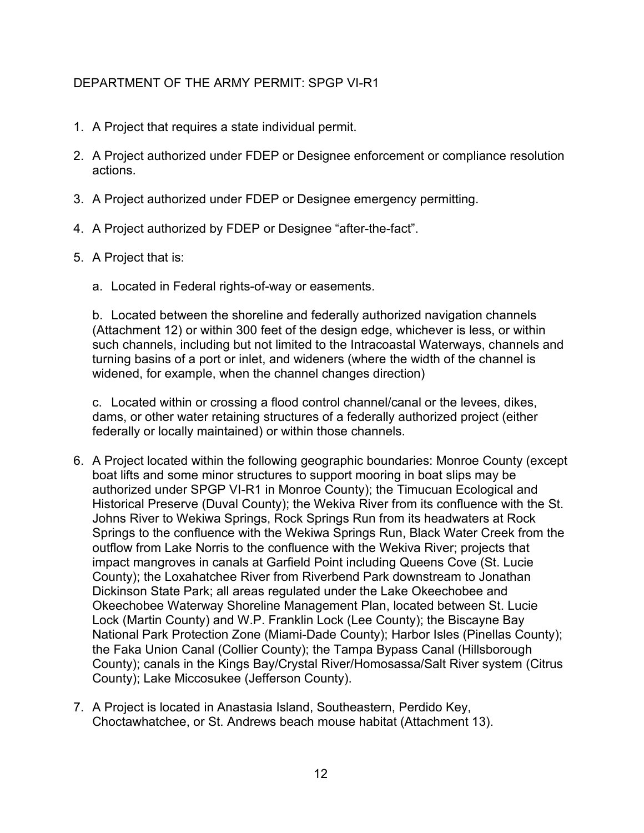- 1. A Project that requires a state individual permit.
- 2. A Project authorized under FDEP or Designee enforcement or compliance resolution actions.
- 3. A Project authorized under FDEP or Designee emergency permitting.
- 4. A Project authorized by FDEP or Designee "after-the-fact".
- 5. A Project that is:
	- a. Located in Federal rights-of-way or easements.

b. Located between the shoreline and federally authorized navigation channels (Attachment 12) or within 300 feet of the design edge, whichever is less, or within such channels, including but not limited to the Intracoastal Waterways, channels and turning basins of a port or inlet, and wideners (where the width of the channel is widened, for example, when the channel changes direction)

c. Located within or crossing a flood control channel/canal or the levees, dikes, dams, or other water retaining structures of a federally authorized project (either federally or locally maintained) or within those channels.

- 6. A Project located within the following geographic boundaries: Monroe County (except boat lifts and some minor structures to support mooring in boat slips may be authorized under SPGP VI-R1 in Monroe County); the Timucuan Ecological and Historical Preserve (Duval County); the Wekiva River from its confluence with the St. Johns River to Wekiwa Springs, Rock Springs Run from its headwaters at Rock Springs to the confluence with the Wekiwa Springs Run, Black Water Creek from the outflow from Lake Norris to the confluence with the Wekiva River; projects that impact mangroves in canals at Garfield Point including Queens Cove (St. Lucie County); the Loxahatchee River from Riverbend Park downstream to Jonathan Dickinson State Park; all areas regulated under the Lake Okeechobee and Okeechobee Waterway Shoreline Management Plan, located between St. Lucie Lock (Martin County) and W.P. Franklin Lock (Lee County); the Biscayne Bay National Park Protection Zone (Miami-Dade County); Harbor Isles (Pinellas County); the Faka Union Canal (Collier County); the Tampa Bypass Canal (Hillsborough County); canals in the Kings Bay/Crystal River/Homosassa/Salt River system (Citrus County); Lake Miccosukee (Jefferson County).
- 7. A Project is located in Anastasia Island, Southeastern, Perdido Key, Choctawhatchee, or St. Andrews beach mouse habitat (Attachment 13).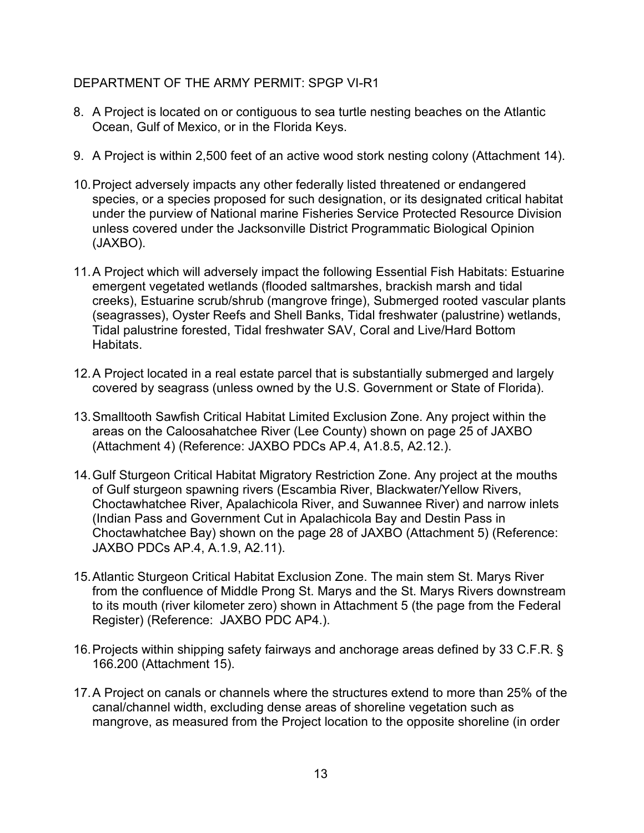- 8. A Project is located on or contiguous to sea turtle nesting beaches on the Atlantic Ocean, Gulf of Mexico, or in the Florida Keys.
- 9. A Project is within 2,500 feet of an active wood stork nesting colony (Attachment 14).
- 10.Project adversely impacts any other federally listed threatened or endangered species, or a species proposed for such designation, or its designated critical habitat under the purview of National marine Fisheries Service Protected Resource Division unless covered under the Jacksonville District Programmatic Biological Opinion (JAXBO).
- 11.A Project which will adversely impact the following Essential Fish Habitats: Estuarine emergent vegetated wetlands (flooded saltmarshes, brackish marsh and tidal creeks), Estuarine scrub/shrub (mangrove fringe), Submerged rooted vascular plants (seagrasses), Oyster Reefs and Shell Banks, Tidal freshwater (palustrine) wetlands, Tidal palustrine forested, Tidal freshwater SAV, Coral and Live/Hard Bottom Habitats.
- 12.A Project located in a real estate parcel that is substantially submerged and largely covered by seagrass (unless owned by the U.S. Government or State of Florida).
- 13.Smalltooth Sawfish Critical Habitat Limited Exclusion Zone. Any project within the areas on the Caloosahatchee River (Lee County) shown on page 25 of JAXBO (Attachment 4) (Reference: JAXBO PDCs AP.4, A1.8.5, A2.12.).
- 14.Gulf Sturgeon Critical Habitat Migratory Restriction Zone. Any project at the mouths of Gulf sturgeon spawning rivers (Escambia River, Blackwater/Yellow Rivers, Choctawhatchee River, Apalachicola River, and Suwannee River) and narrow inlets (Indian Pass and Government Cut in Apalachicola Bay and Destin Pass in Choctawhatchee Bay) shown on the page 28 of JAXBO (Attachment 5) (Reference: JAXBO PDCs AP.4, A.1.9, A2.11).
- 15.Atlantic Sturgeon Critical Habitat Exclusion Zone. The main stem St. Marys River from the confluence of Middle Prong St. Marys and the St. Marys Rivers downstream to its mouth (river kilometer zero) shown in Attachment 5 (the page from the Federal Register) (Reference: JAXBO PDC AP4.).
- 16.Projects within shipping safety fairways and anchorage areas defined by 33 C.F.R. § 166.200 (Attachment 15).
- 17.A Project on canals or channels where the structures extend to more than 25% of the canal/channel width, excluding dense areas of shoreline vegetation such as mangrove, as measured from the Project location to the opposite shoreline (in order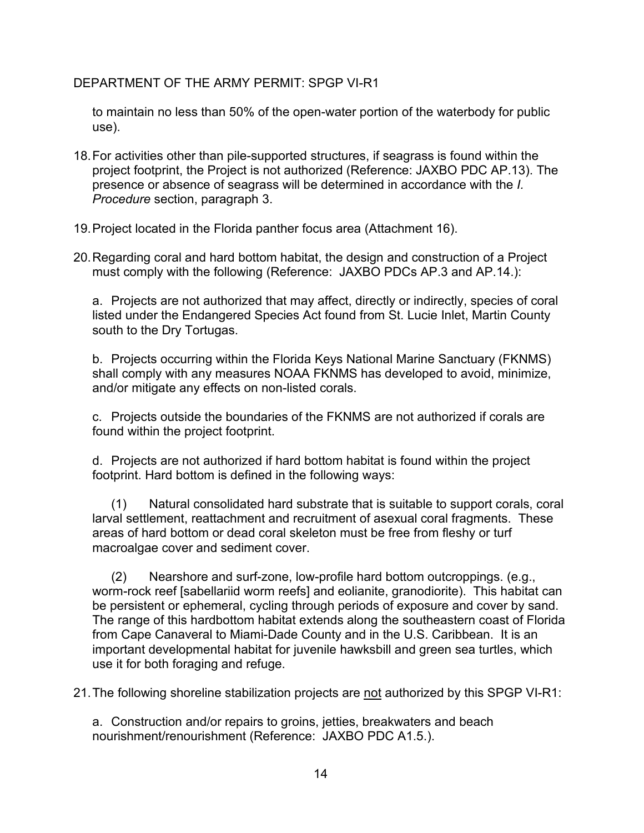to maintain no less than 50% of the open-water portion of the waterbody for public use).

- 18.For activities other than pile-supported structures, if seagrass is found within the project footprint, the Project is not authorized (Reference: JAXBO PDC AP.13). The presence or absence of seagrass will be determined in accordance with the *I. Procedure* section, paragraph 3.
- 19.Project located in the Florida panther focus area (Attachment 16).
- 20.Regarding coral and hard bottom habitat, the design and construction of a Project must comply with the following (Reference: JAXBO PDCs AP.3 and AP.14.):

a. Projects are not authorized that may affect, directly or indirectly, species of coral listed under the Endangered Species Act found from St. Lucie Inlet, Martin County south to the Dry Tortugas.

b. Projects occurring within the Florida Keys National Marine Sanctuary (FKNMS) shall comply with any measures NOAA FKNMS has developed to avoid, minimize, and/or mitigate any effects on non-listed corals.

c. Projects outside the boundaries of the FKNMS are not authorized if corals are found within the project footprint.

d. Projects are not authorized if hard bottom habitat is found within the project footprint. Hard bottom is defined in the following ways:

(1) Natural consolidated hard substrate that is suitable to support corals, coral larval settlement, reattachment and recruitment of asexual coral fragments. These areas of hard bottom or dead coral skeleton must be free from fleshy or turf macroalgae cover and sediment cover.

(2) Nearshore and surf-zone, low-profile hard bottom outcroppings. (e.g., worm-rock reef [sabellariid worm reefs] and eolianite, granodiorite). This habitat can be persistent or ephemeral, cycling through periods of exposure and cover by sand. The range of this hardbottom habitat extends along the southeastern coast of Florida from Cape Canaveral to Miami-Dade County and in the U.S. Caribbean. It is an important developmental habitat for juvenile hawksbill and green sea turtles, which use it for both foraging and refuge.

21.The following shoreline stabilization projects are not authorized by this SPGP VI-R1:

a. Construction and/or repairs to groins, jetties, breakwaters and beach nourishment/renourishment (Reference: JAXBO PDC A1.5.).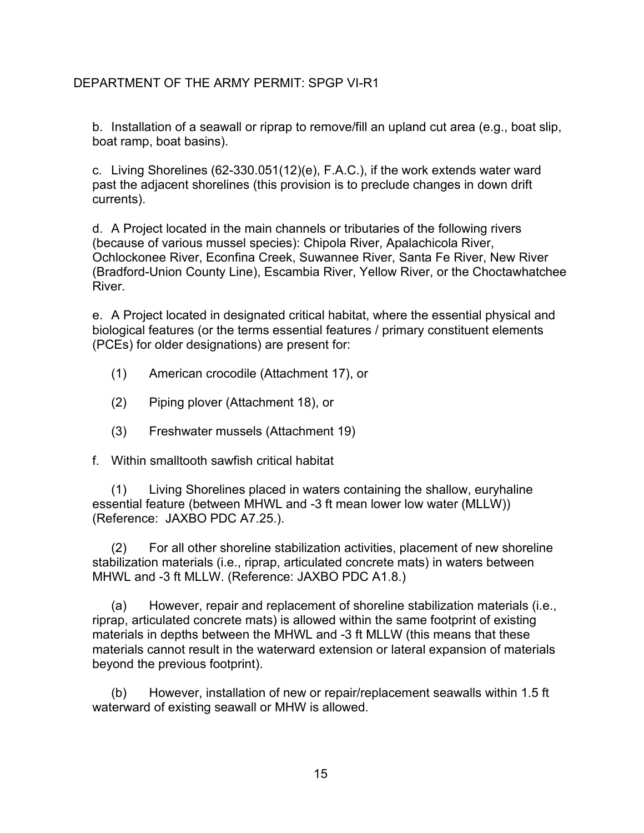b. Installation of a seawall or riprap to remove/fill an upland cut area (e.g., boat slip, boat ramp, boat basins).

c. Living Shorelines (62-330.051(12)(e), F.A.C.), if the work extends water ward past the adjacent shorelines (this provision is to preclude changes in down drift currents).

d. A Project located in the main channels or tributaries of the following rivers (because of various mussel species): Chipola River, Apalachicola River, Ochlockonee River, Econfina Creek, Suwannee River, Santa Fe River, New River (Bradford-Union County Line), Escambia River, Yellow River, or the Choctawhatchee River.

e. A Project located in designated critical habitat, where the essential physical and biological features (or the terms essential features / primary constituent elements (PCEs) for older designations) are present for:

- (1) American crocodile (Attachment 17), or
- (2) Piping plover (Attachment 18), or
- (3) Freshwater mussels (Attachment 19)
- f. Within smalltooth sawfish critical habitat

(1) Living Shorelines placed in waters containing the shallow, euryhaline essential feature (between MHWL and -3 ft mean lower low water (MLLW)) (Reference: JAXBO PDC A7.25.).

(2) For all other shoreline stabilization activities, placement of new shoreline stabilization materials (i.e., riprap, articulated concrete mats) in waters between MHWL and -3 ft MLLW. (Reference: JAXBO PDC A1.8.)

(a) However, repair and replacement of shoreline stabilization materials (i.e., riprap, articulated concrete mats) is allowed within the same footprint of existing materials in depths between the MHWL and -3 ft MLLW (this means that these materials cannot result in the waterward extension or lateral expansion of materials beyond the previous footprint).

(b) However, installation of new or repair/replacement seawalls within 1.5 ft waterward of existing seawall or MHW is allowed.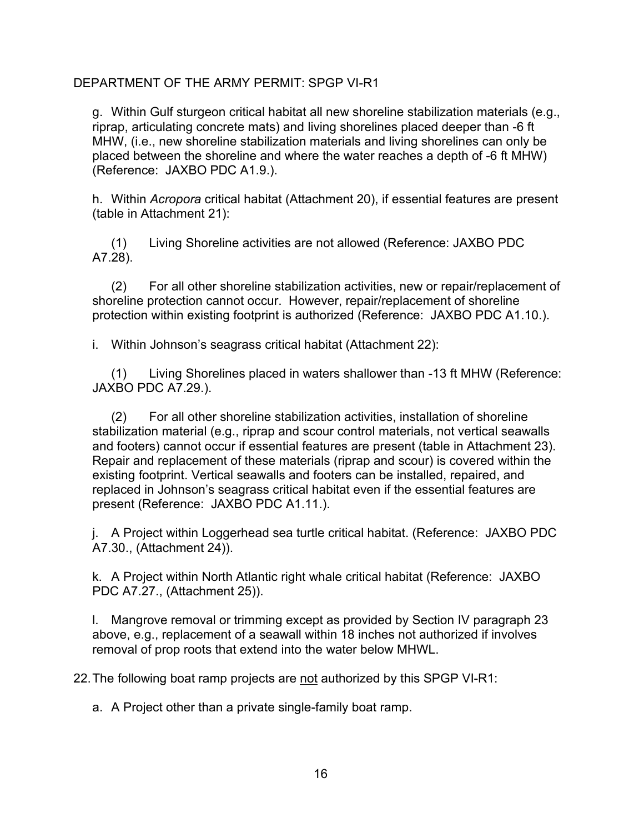g. Within Gulf sturgeon critical habitat all new shoreline stabilization materials (e.g., riprap, articulating concrete mats) and living shorelines placed deeper than -6 ft MHW, (i.e., new shoreline stabilization materials and living shorelines can only be placed between the shoreline and where the water reaches a depth of -6 ft MHW) (Reference: JAXBO PDC A1.9.).

h. Within *Acropora* critical habitat (Attachment 20), if essential features are present (table in Attachment 21):

(1) Living Shoreline activities are not allowed (Reference: JAXBO PDC A7.28).

(2) For all other shoreline stabilization activities, new or repair/replacement of shoreline protection cannot occur. However, repair/replacement of shoreline protection within existing footprint is authorized (Reference: JAXBO PDC A1.10.).

i. Within Johnson's seagrass critical habitat (Attachment 22):

(1) Living Shorelines placed in waters shallower than -13 ft MHW (Reference: JAXBO PDC A7.29.).

(2) For all other shoreline stabilization activities, installation of shoreline stabilization material (e.g., riprap and scour control materials, not vertical seawalls and footers) cannot occur if essential features are present (table in Attachment 23). Repair and replacement of these materials (riprap and scour) is covered within the existing footprint. Vertical seawalls and footers can be installed, repaired, and replaced in Johnson's seagrass critical habitat even if the essential features are present (Reference: JAXBO PDC A1.11.).

j. A Project within Loggerhead sea turtle critical habitat. (Reference: JAXBO PDC A7.30., (Attachment 24)).

k. A Project within North Atlantic right whale critical habitat (Reference: JAXBO PDC A7.27., (Attachment 25)).

l. Mangrove removal or trimming except as provided by Section IV paragraph 23 above, e.g., replacement of a seawall within 18 inches not authorized if involves removal of prop roots that extend into the water below MHWL.

22.The following boat ramp projects are not authorized by this SPGP VI-R1:

a. A Project other than a private single-family boat ramp.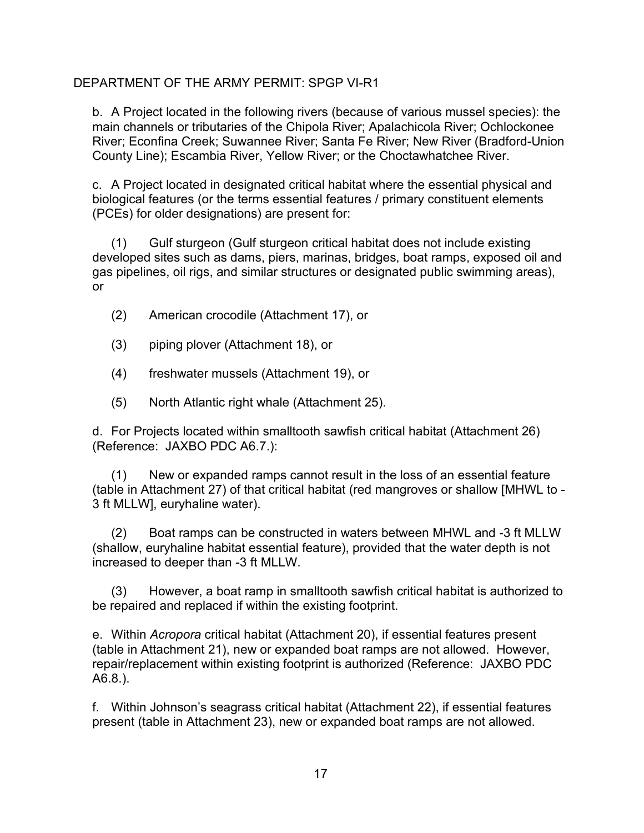b. A Project located in the following rivers (because of various mussel species): the main channels or tributaries of the Chipola River; Apalachicola River; Ochlockonee River; Econfina Creek; Suwannee River; Santa Fe River; New River (Bradford-Union County Line); Escambia River, Yellow River; or the Choctawhatchee River.

c. A Project located in designated critical habitat where the essential physical and biological features (or the terms essential features / primary constituent elements (PCEs) for older designations) are present for:

(1) Gulf sturgeon (Gulf sturgeon critical habitat does not include existing developed sites such as dams, piers, marinas, bridges, boat ramps, exposed oil and gas pipelines, oil rigs, and similar structures or designated public swimming areas), or

- (2) American crocodile (Attachment 17), or
- (3) piping plover (Attachment 18), or
- (4) freshwater mussels (Attachment 19), or
- (5) North Atlantic right whale (Attachment 25).

d. For Projects located within smalltooth sawfish critical habitat (Attachment 26) (Reference: JAXBO PDC A6.7.):

(1) New or expanded ramps cannot result in the loss of an essential feature (table in Attachment 27) of that critical habitat (red mangroves or shallow [MHWL to - 3 ft MLLW], euryhaline water).

(2) Boat ramps can be constructed in waters between MHWL and -3 ft MLLW (shallow, euryhaline habitat essential feature), provided that the water depth is not increased to deeper than -3 ft MLLW.

(3) However, a boat ramp in smalltooth sawfish critical habitat is authorized to be repaired and replaced if within the existing footprint.

e. Within *Acropora* critical habitat (Attachment 20), if essential features present (table in Attachment 21), new or expanded boat ramps are not allowed. However, repair/replacement within existing footprint is authorized (Reference: JAXBO PDC A6.8.).

f. Within Johnson's seagrass critical habitat (Attachment 22), if essential features present (table in Attachment 23), new or expanded boat ramps are not allowed.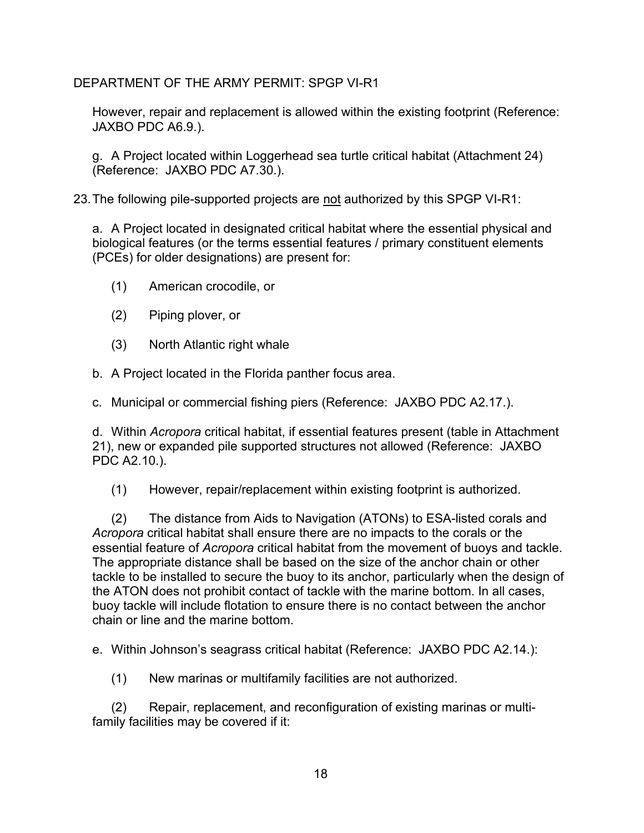However, repair and replacement is allowed within the existing footprint (Reference: JAXBO PDC A6.9.).

g. A Project located within Loggerhead sea turtle critical habitat (Attachment 24) (Reference: JAXBO PDC A7.30.).

23.The following pile-supported projects are not authorized by this SPGP VI-R1:

a. A Project located in designated critical habitat where the essential physical and biological features (or the terms essential features / primary constituent elements (PCEs) for older designations) are present for:

- (1) American crocodile, or
- (2) Piping plover, or
- (3) North Atlantic right whale
- b. A Project located in the Florida panther focus area.
- c. Municipal or commercial fishing piers (Reference: JAXBO PDC A2.17.).

d. Within *Acropora* critical habitat, if essential features present (table in Attachment 21), new or expanded pile supported structures not allowed (Reference: JAXBO PDC A2.10.).

(1) However, repair/replacement within existing footprint is authorized.

(2) The distance from Aids to Navigation (ATONs) to ESA-listed corals and *Acropora* critical habitat shall ensure there are no impacts to the corals or the essential feature of *Acropora* critical habitat from the movement of buoys and tackle. The appropriate distance shall be based on the size of the anchor chain or other tackle to be installed to secure the buoy to its anchor, particularly when the design of the ATON does not prohibit contact of tackle with the marine bottom. In all cases, buoy tackle will include flotation to ensure there is no contact between the anchor chain or line and the marine bottom.

e. Within Johnson's seagrass critical habitat (Reference: JAXBO PDC A2.14.):

(1) New marinas or multifamily facilities are not authorized.

(2) Repair, replacement, and reconfiguration of existing marinas or multifamily facilities may be covered if it: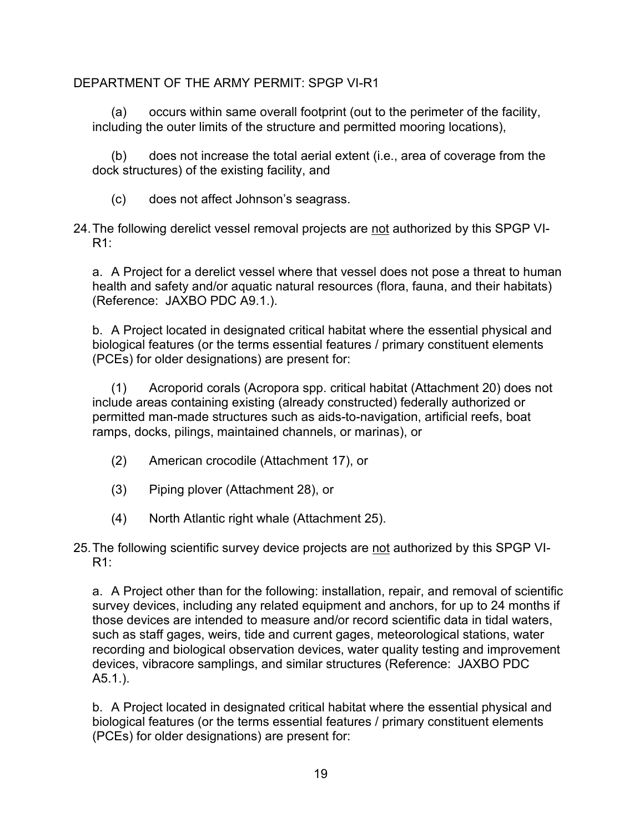(a) occurs within same overall footprint (out to the perimeter of the facility, including the outer limits of the structure and permitted mooring locations),

(b) does not increase the total aerial extent (i.e., area of coverage from the dock structures) of the existing facility, and

- (c) does not affect Johnson's seagrass.
- 24.The following derelict vessel removal projects are not authorized by this SPGP VI-R1:

a. A Project for a derelict vessel where that vessel does not pose a threat to human health and safety and/or aquatic natural resources (flora, fauna, and their habitats) (Reference: JAXBO PDC A9.1.).

b. A Project located in designated critical habitat where the essential physical and biological features (or the terms essential features / primary constituent elements (PCEs) for older designations) are present for:

(1) Acroporid corals (Acropora spp. critical habitat (Attachment 20) does not include areas containing existing (already constructed) federally authorized or permitted man-made structures such as aids-to-navigation, artificial reefs, boat ramps, docks, pilings, maintained channels, or marinas), or

- (2) American crocodile (Attachment 17), or
- (3) Piping plover (Attachment 28), or
- (4) North Atlantic right whale (Attachment 25).
- 25. The following scientific survey device projects are not authorized by this SPGP VI-R1:

a. A Project other than for the following: installation, repair, and removal of scientific survey devices, including any related equipment and anchors, for up to 24 months if those devices are intended to measure and/or record scientific data in tidal waters, such as staff gages, weirs, tide and current gages, meteorological stations, water recording and biological observation devices, water quality testing and improvement devices, vibracore samplings, and similar structures (Reference: JAXBO PDC A5.1.).

b. A Project located in designated critical habitat where the essential physical and biological features (or the terms essential features / primary constituent elements (PCEs) for older designations) are present for: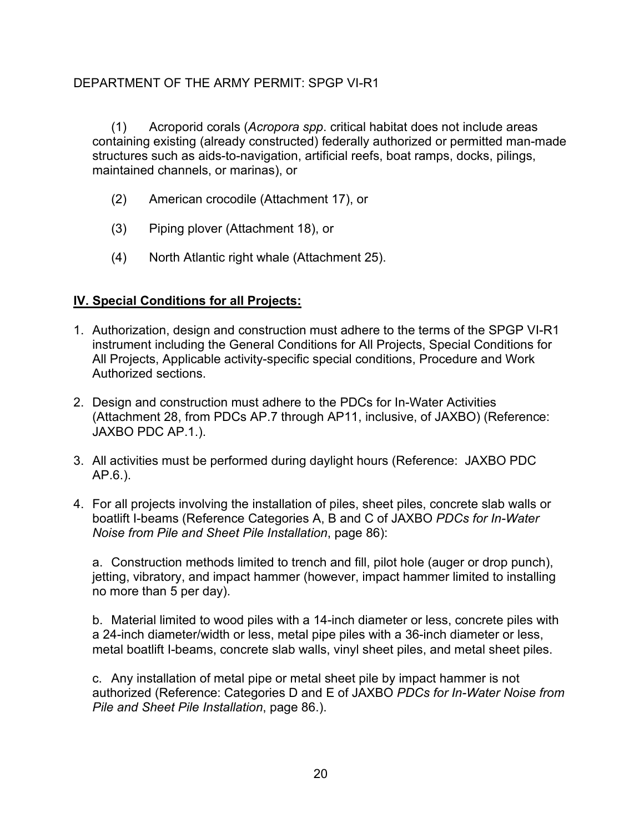(1) Acroporid corals (*Acropora spp*. critical habitat does not include areas containing existing (already constructed) federally authorized or permitted man-made structures such as aids-to-navigation, artificial reefs, boat ramps, docks, pilings, maintained channels, or marinas), or

- (2) American crocodile (Attachment 17), or
- (3) Piping plover (Attachment 18), or
- (4) North Atlantic right whale (Attachment 25).

## **IV. Special Conditions for all Projects:**

- 1. Authorization, design and construction must adhere to the terms of the SPGP VI-R1 instrument including the General Conditions for All Projects, Special Conditions for All Projects, Applicable activity-specific special conditions, Procedure and Work Authorized sections.
- 2. Design and construction must adhere to the PDCs for In-Water Activities (Attachment 28, from PDCs AP.7 through AP11, inclusive, of JAXBO) (Reference: JAXBO PDC AP.1.).
- 3. All activities must be performed during daylight hours (Reference: JAXBO PDC AP.6.).
- 4. For all projects involving the installation of piles, sheet piles, concrete slab walls or boatlift I-beams (Reference Categories A, B and C of JAXBO *PDCs for In-Water Noise from Pile and Sheet Pile Installation*, page 86):

a. Construction methods limited to trench and fill, pilot hole (auger or drop punch), jetting, vibratory, and impact hammer (however, impact hammer limited to installing no more than 5 per day).

b. Material limited to wood piles with a 14-inch diameter or less, concrete piles with a 24-inch diameter/width or less, metal pipe piles with a 36-inch diameter or less, metal boatlift I-beams, concrete slab walls, vinyl sheet piles, and metal sheet piles.

c. Any installation of metal pipe or metal sheet pile by impact hammer is not authorized (Reference: Categories D and E of JAXBO *PDCs for In-Water Noise from Pile and Sheet Pile Installation*, page 86.).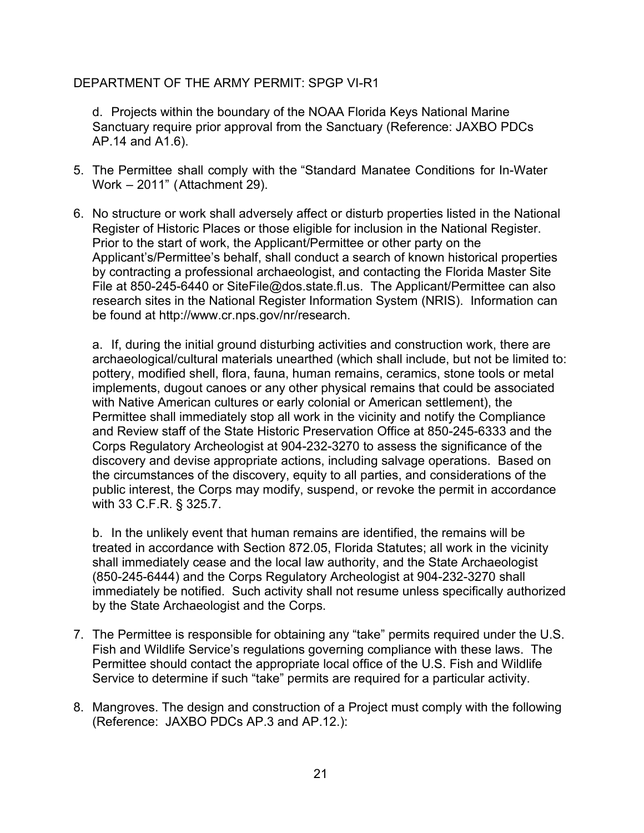d. Projects within the boundary of the NOAA Florida Keys National Marine Sanctuary require prior approval from the Sanctuary (Reference: JAXBO PDCs AP.14 and A1.6).

- 5. The Permittee shall comply with the "Standard Manatee Conditions for In-Water Work – 2011" (Attachment 29).
- 6. No structure or work shall adversely affect or disturb properties listed in the National Register of Historic Places or those eligible for inclusion in the National Register. Prior to the start of work, the Applicant/Permittee or other party on the Applicant's/Permittee's behalf, shall conduct a search of known historical properties by contracting a professional archaeologist, and contacting the Florida Master Site File at 850-245-6440 or SiteFile@dos.state.fl.us. The Applicant/Permittee can also research sites in the National Register Information System (NRIS). Information can be found at http://www.cr.nps.gov/nr/research.

a. If, during the initial ground disturbing activities and construction work, there are archaeological/cultural materials unearthed (which shall include, but not be limited to: pottery, modified shell, flora, fauna, human remains, ceramics, stone tools or metal implements, dugout canoes or any other physical remains that could be associated with Native American cultures or early colonial or American settlement), the Permittee shall immediately stop all work in the vicinity and notify the Compliance and Review staff of the State Historic Preservation Office at 850-245-6333 and the Corps Regulatory Archeologist at 904-232-3270 to assess the significance of the discovery and devise appropriate actions, including salvage operations. Based on the circumstances of the discovery, equity to all parties, and considerations of the public interest, the Corps may modify, suspend, or revoke the permit in accordance with 33 C.F.R. § 325.7.

b. In the unlikely event that human remains are identified, the remains will be treated in accordance with Section 872.05, Florida Statutes; all work in the vicinity shall immediately cease and the local law authority, and the State Archaeologist (850-245-6444) and the Corps Regulatory Archeologist at 904-232-3270 shall immediately be notified. Such activity shall not resume unless specifically authorized by the State Archaeologist and the Corps.

- 7. The Permittee is responsible for obtaining any "take" permits required under the U.S. Fish and Wildlife Service's regulations governing compliance with these laws. The Permittee should contact the appropriate local office of the U.S. Fish and Wildlife Service to determine if such "take" permits are required for a particular activity.
- 8. Mangroves. The design and construction of a Project must comply with the following (Reference: JAXBO PDCs AP.3 and AP.12.):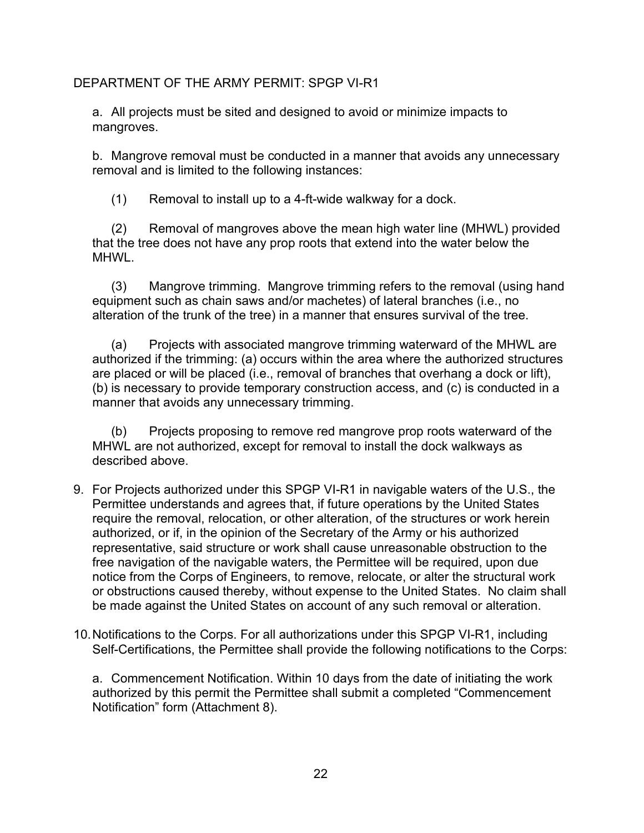a. All projects must be sited and designed to avoid or minimize impacts to mangroves.

b. Mangrove removal must be conducted in a manner that avoids any unnecessary removal and is limited to the following instances:

(1) Removal to install up to a 4-ft-wide walkway for a dock.

(2) Removal of mangroves above the mean high water line (MHWL) provided that the tree does not have any prop roots that extend into the water below the MHWL.

(3) Mangrove trimming. Mangrove trimming refers to the removal (using hand equipment such as chain saws and/or machetes) of lateral branches (i.e., no alteration of the trunk of the tree) in a manner that ensures survival of the tree.

(a) Projects with associated mangrove trimming waterward of the MHWL are authorized if the trimming: (a) occurs within the area where the authorized structures are placed or will be placed (i.e., removal of branches that overhang a dock or lift), (b) is necessary to provide temporary construction access, and (c) is conducted in a manner that avoids any unnecessary trimming.

(b) Projects proposing to remove red mangrove prop roots waterward of the MHWL are not authorized, except for removal to install the dock walkways as described above.

- 9. For Projects authorized under this SPGP VI-R1 in navigable waters of the U.S., the Permittee understands and agrees that, if future operations by the United States require the removal, relocation, or other alteration, of the structures or work herein authorized, or if, in the opinion of the Secretary of the Army or his authorized representative, said structure or work shall cause unreasonable obstruction to the free navigation of the navigable waters, the Permittee will be required, upon due notice from the Corps of Engineers, to remove, relocate, or alter the structural work or obstructions caused thereby, without expense to the United States. No claim shall be made against the United States on account of any such removal or alteration.
- 10.Notifications to the Corps. For all authorizations under this SPGP VI-R1, including Self-Certifications, the Permittee shall provide the following notifications to the Corps:

a. Commencement Notification. Within 10 days from the date of initiating the work authorized by this permit the Permittee shall submit a completed "Commencement Notification" form (Attachment 8).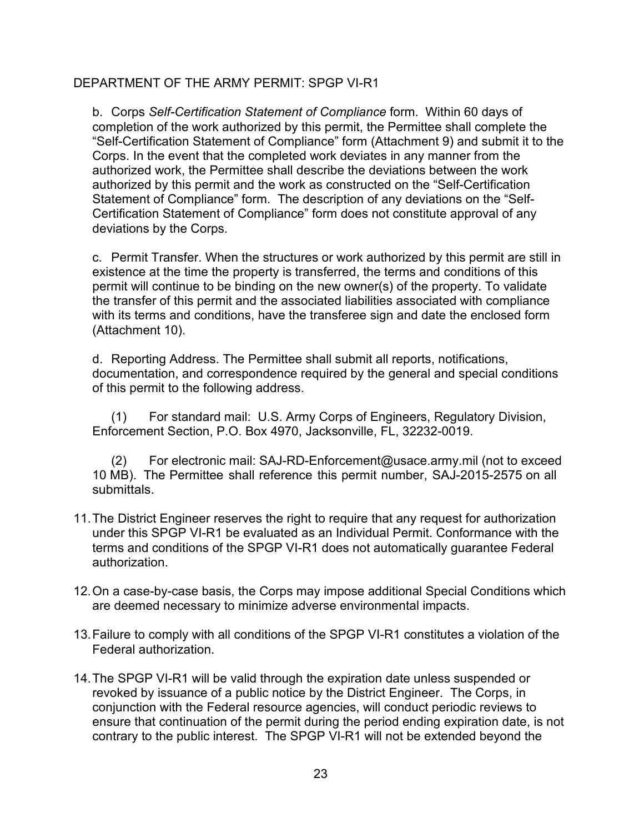b. Corps *Self-Certification Statement of Compliance* form. Within 60 days of completion of the work authorized by this permit, the Permittee shall complete the "Self-Certification Statement of Compliance" form (Attachment 9) and submit it to the Corps. In the event that the completed work deviates in any manner from the authorized work, the Permittee shall describe the deviations between the work authorized by this permit and the work as constructed on the "Self-Certification Statement of Compliance" form. The description of any deviations on the "Self-Certification Statement of Compliance" form does not constitute approval of any deviations by the Corps.

c. Permit Transfer. When the structures or work authorized by this permit are still in existence at the time the property is transferred, the terms and conditions of this permit will continue to be binding on the new owner(s) of the property. To validate the transfer of this permit and the associated liabilities associated with compliance with its terms and conditions, have the transferee sign and date the enclosed form (Attachment 10).

d. Reporting Address. The Permittee shall submit all reports, notifications, documentation, and correspondence required by the general and special conditions of this permit to the following address.

(1) For standard mail: U.S. Army Corps of Engineers, Regulatory Division, Enforcement Section, P.O. Box 4970, Jacksonville, FL, 32232-0019.

(2) For electronic mail: SAJ-RD-Enforcement@usace.army.mil (not to exceed 10 MB). The Permittee shall reference this permit number, SAJ-2015-2575 on all submittals.

- 11.The District Engineer reserves the right to require that any request for authorization under this SPGP VI-R1 be evaluated as an Individual Permit. Conformance with the terms and conditions of the SPGP VI-R1 does not automatically guarantee Federal authorization.
- 12.On a case-by-case basis, the Corps may impose additional Special Conditions which are deemed necessary to minimize adverse environmental impacts.
- 13.Failure to comply with all conditions of the SPGP VI-R1 constitutes a violation of the Federal authorization.
- 14.The SPGP VI-R1 will be valid through the expiration date unless suspended or revoked by issuance of a public notice by the District Engineer. The Corps, in conjunction with the Federal resource agencies, will conduct periodic reviews to ensure that continuation of the permit during the period ending expiration date, is not contrary to the public interest. The SPGP VI-R1 will not be extended beyond the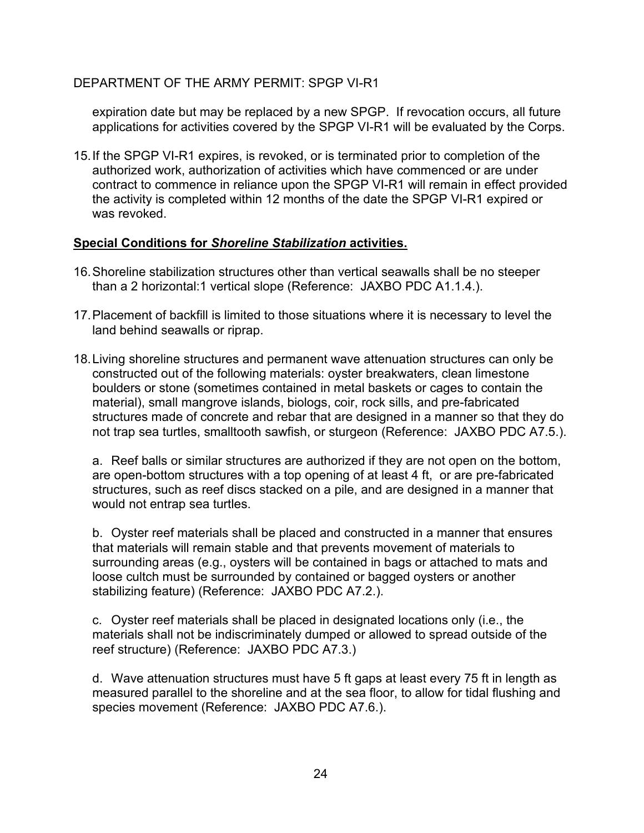expiration date but may be replaced by a new SPGP. If revocation occurs, all future applications for activities covered by the SPGP VI-R1 will be evaluated by the Corps.

15.If the SPGP VI-R1 expires, is revoked, or is terminated prior to completion of the authorized work, authorization of activities which have commenced or are under contract to commence in reliance upon the SPGP VI-R1 will remain in effect provided the activity is completed within 12 months of the date the SPGP VI-R1 expired or was revoked.

## **Special Conditions for** *Shoreline Stabilization* **activities.**

- 16.Shoreline stabilization structures other than vertical seawalls shall be no steeper than a 2 horizontal:1 vertical slope (Reference: JAXBO PDC A1.1.4.).
- 17.Placement of backfill is limited to those situations where it is necessary to level the land behind seawalls or riprap.
- 18.Living shoreline structures and permanent wave attenuation structures can only be constructed out of the following materials: oyster breakwaters, clean limestone boulders or stone (sometimes contained in metal baskets or cages to contain the material), small mangrove islands, biologs, coir, rock sills, and pre-fabricated structures made of concrete and rebar that are designed in a manner so that they do not trap sea turtles, smalltooth sawfish, or sturgeon (Reference: JAXBO PDC A7.5.).

a. Reef balls or similar structures are authorized if they are not open on the bottom, are open-bottom structures with a top opening of at least 4 ft, or are pre-fabricated structures, such as reef discs stacked on a pile, and are designed in a manner that would not entrap sea turtles.

b. Oyster reef materials shall be placed and constructed in a manner that ensures that materials will remain stable and that prevents movement of materials to surrounding areas (e.g., oysters will be contained in bags or attached to mats and loose cultch must be surrounded by contained or bagged oysters or another stabilizing feature) (Reference: JAXBO PDC A7.2.).

c. Oyster reef materials shall be placed in designated locations only (i.e., the materials shall not be indiscriminately dumped or allowed to spread outside of the reef structure) (Reference: JAXBO PDC A7.3.)

d. Wave attenuation structures must have 5 ft gaps at least every 75 ft in length as measured parallel to the shoreline and at the sea floor, to allow for tidal flushing and species movement (Reference: JAXBO PDC A7.6.).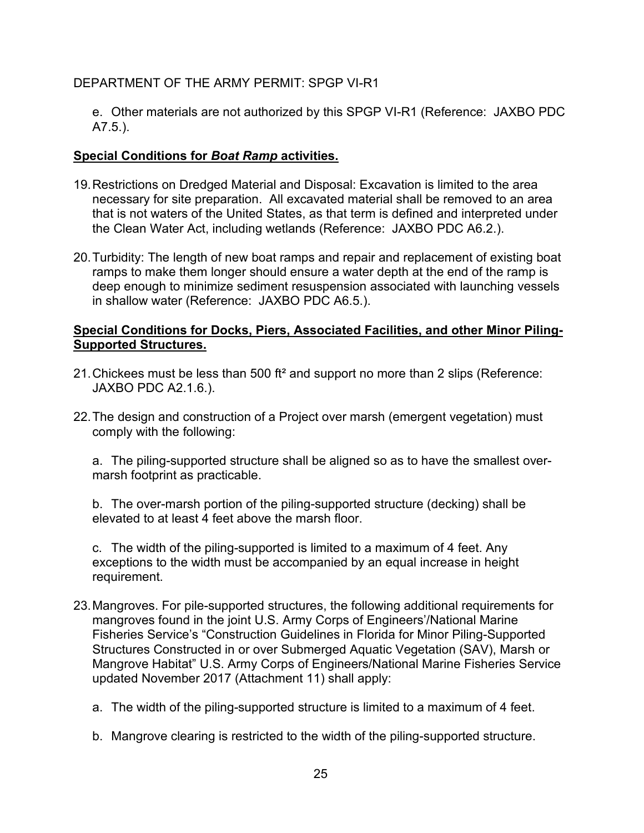e. Other materials are not authorized by this SPGP VI-R1 (Reference: JAXBO PDC A7.5.).

## **Special Conditions for** *Boat Ramp* **activities.**

- 19.Restrictions on Dredged Material and Disposal: Excavation is limited to the area necessary for site preparation. All excavated material shall be removed to an area that is not waters of the United States, as that term is defined and interpreted under the Clean Water Act, including wetlands (Reference: JAXBO PDC A6.2.).
- 20.Turbidity: The length of new boat ramps and repair and replacement of existing boat ramps to make them longer should ensure a water depth at the end of the ramp is deep enough to minimize sediment resuspension associated with launching vessels in shallow water (Reference: JAXBO PDC A6.5.).

## **Special Conditions for Docks, Piers, Associated Facilities, and other Minor Piling-Supported Structures.**

- 21.Chickees must be less than 500 ft² and support no more than 2 slips (Reference: JAXBO PDC A2.1.6.).
- 22.The design and construction of a Project over marsh (emergent vegetation) must comply with the following:

a. The piling-supported structure shall be aligned so as to have the smallest overmarsh footprint as practicable.

b. The over-marsh portion of the piling-supported structure (decking) shall be elevated to at least 4 feet above the marsh floor.

c. The width of the piling-supported is limited to a maximum of 4 feet. Any exceptions to the width must be accompanied by an equal increase in height requirement.

- 23.Mangroves. For pile-supported structures, the following additional requirements for mangroves found in the joint U.S. Army Corps of Engineers'/National Marine Fisheries Service's "Construction Guidelines in Florida for Minor Piling-Supported Structures Constructed in or over Submerged Aquatic Vegetation (SAV), Marsh or Mangrove Habitat" U.S. Army Corps of Engineers/National Marine Fisheries Service updated November 2017 (Attachment 11) shall apply:
	- a. The width of the piling-supported structure is limited to a maximum of 4 feet.
	- b. Mangrove clearing is restricted to the width of the piling-supported structure.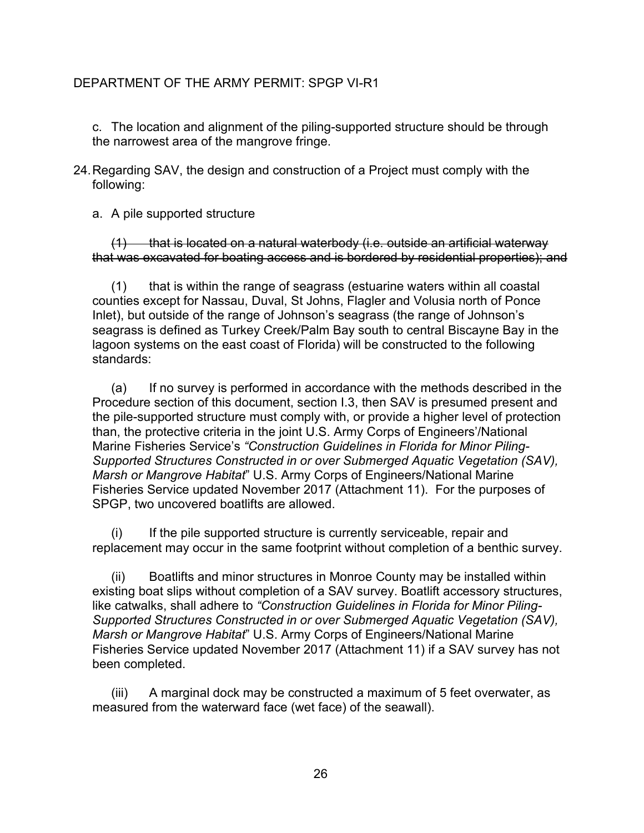c. The location and alignment of the piling-supported structure should be through the narrowest area of the mangrove fringe.

24.Regarding SAV, the design and construction of a Project must comply with the following:

a. A pile supported structure

 $(1)$  that is located on a natural waterbody (i.e. outside an artificial waterway that was excavated for boating access and is bordered by residential properties); and

(1) that is within the range of seagrass (estuarine waters within all coastal counties except for Nassau, Duval, St Johns, Flagler and Volusia north of Ponce Inlet), but outside of the range of Johnson's seagrass (the range of Johnson's seagrass is defined as Turkey Creek/Palm Bay south to central Biscayne Bay in the lagoon systems on the east coast of Florida) will be constructed to the following standards:

(a) If no survey is performed in accordance with the methods described in the Procedure section of this document, section I.3, then SAV is presumed present and the pile-supported structure must comply with, or provide a higher level of protection than, the protective criteria in the joint U.S. Army Corps of Engineers'/National Marine Fisheries Service's *"Construction Guidelines in Florida for Minor Piling-Supported Structures Constructed in or over Submerged Aquatic Vegetation (SAV), Marsh or Mangrove Habitat*" U.S. Army Corps of Engineers/National Marine Fisheries Service updated November 2017 (Attachment 11). For the purposes of SPGP, two uncovered boatlifts are allowed.

(i) If the pile supported structure is currently serviceable, repair and replacement may occur in the same footprint without completion of a benthic survey.

(ii) Boatlifts and minor structures in Monroe County may be installed within existing boat slips without completion of a SAV survey. Boatlift accessory structures, like catwalks, shall adhere to *"Construction Guidelines in Florida for Minor Piling-Supported Structures Constructed in or over Submerged Aquatic Vegetation (SAV), Marsh or Mangrove Habitat*" U.S. Army Corps of Engineers/National Marine Fisheries Service updated November 2017 (Attachment 11) if a SAV survey has not been completed.

(iii) A marginal dock may be constructed a maximum of 5 feet overwater, as measured from the waterward face (wet face) of the seawall).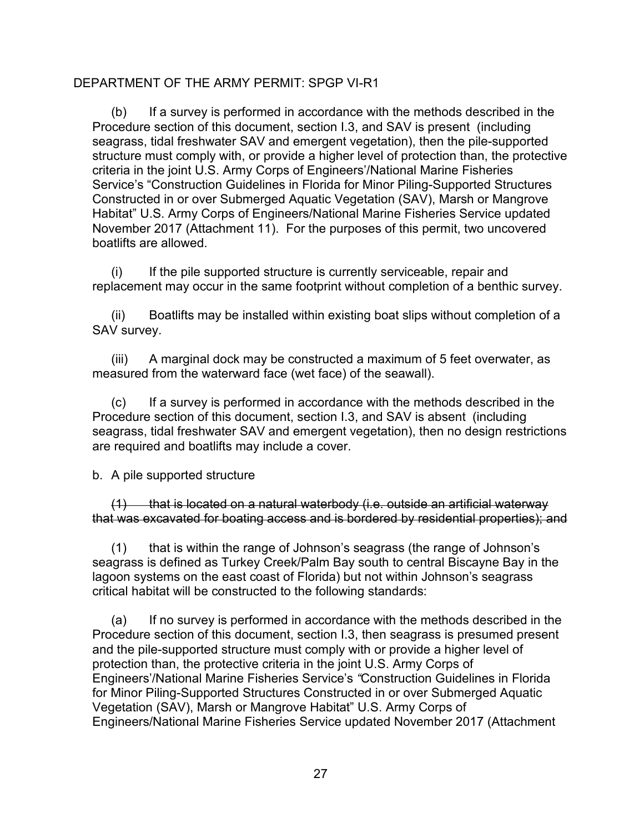(b) If a survey is performed in accordance with the methods described in the Procedure section of this document, section I.3, and SAV is present (including seagrass, tidal freshwater SAV and emergent vegetation), then the pile-supported structure must comply with, or provide a higher level of protection than, the protective criteria in the joint U.S. Army Corps of Engineers'/National Marine Fisheries Service's "Construction Guidelines in Florida for Minor Piling-Supported Structures Constructed in or over Submerged Aquatic Vegetation (SAV), Marsh or Mangrove Habitat" U.S. Army Corps of Engineers/National Marine Fisheries Service updated November 2017 (Attachment 11). For the purposes of this permit, two uncovered boatlifts are allowed.

(i) If the pile supported structure is currently serviceable, repair and replacement may occur in the same footprint without completion of a benthic survey.

(ii) Boatlifts may be installed within existing boat slips without completion of a SAV survey.

(iii) A marginal dock may be constructed a maximum of 5 feet overwater, as measured from the waterward face (wet face) of the seawall).

(c) If a survey is performed in accordance with the methods described in the Procedure section of this document, section I.3, and SAV is absent (including seagrass, tidal freshwater SAV and emergent vegetation), then no design restrictions are required and boatlifts may include a cover.

b. A pile supported structure

 $(1)$  that is located on a natural waterbody (i.e. outside an artificial waterway that was excavated for boating access and is bordered by residential properties); and

(1) that is within the range of Johnson's seagrass (the range of Johnson's seagrass is defined as Turkey Creek/Palm Bay south to central Biscayne Bay in the lagoon systems on the east coast of Florida) but not within Johnson's seagrass critical habitat will be constructed to the following standards:

(a) If no survey is performed in accordance with the methods described in the Procedure section of this document, section I.3, then seagrass is presumed present and the pile-supported structure must comply with or provide a higher level of protection than, the protective criteria in the joint U.S. Army Corps of Engineers'/National Marine Fisheries Service's *"*Construction Guidelines in Florida for Minor Piling-Supported Structures Constructed in or over Submerged Aquatic Vegetation (SAV), Marsh or Mangrove Habitat" U.S. Army Corps of Engineers/National Marine Fisheries Service updated November 2017 (Attachment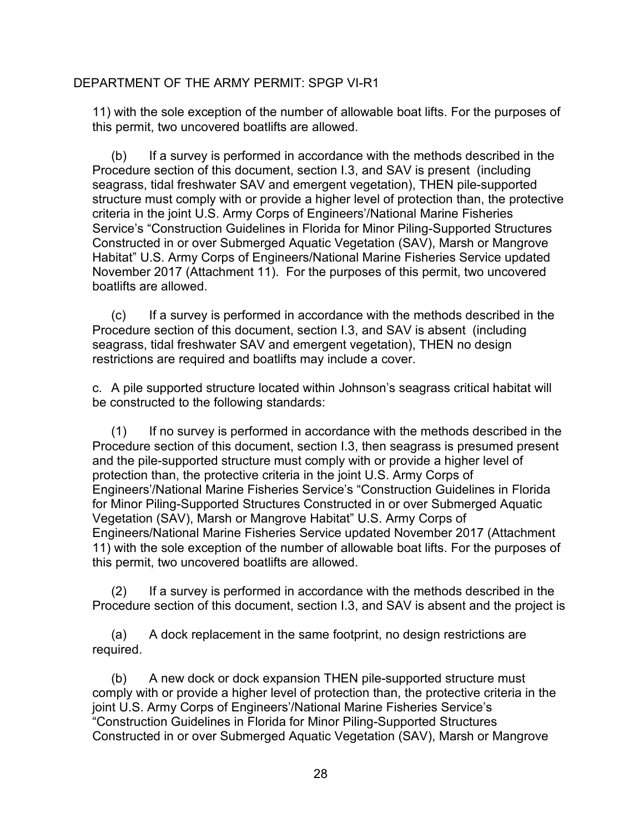11) with the sole exception of the number of allowable boat lifts. For the purposes of this permit, two uncovered boatlifts are allowed.

(b) If a survey is performed in accordance with the methods described in the Procedure section of this document, section I.3, and SAV is present (including seagrass, tidal freshwater SAV and emergent vegetation), THEN pile-supported structure must comply with or provide a higher level of protection than, the protective criteria in the joint U.S. Army Corps of Engineers'/National Marine Fisheries Service's "Construction Guidelines in Florida for Minor Piling-Supported Structures Constructed in or over Submerged Aquatic Vegetation (SAV), Marsh or Mangrove Habitat" U.S. Army Corps of Engineers/National Marine Fisheries Service updated November 2017 (Attachment 11). For the purposes of this permit, two uncovered boatlifts are allowed.

(c) If a survey is performed in accordance with the methods described in the Procedure section of this document, section I.3, and SAV is absent (including seagrass, tidal freshwater SAV and emergent vegetation), THEN no design restrictions are required and boatlifts may include a cover.

c. A pile supported structure located within Johnson's seagrass critical habitat will be constructed to the following standards:

(1) If no survey is performed in accordance with the methods described in the Procedure section of this document, section I.3, then seagrass is presumed present and the pile-supported structure must comply with or provide a higher level of protection than, the protective criteria in the joint U.S. Army Corps of Engineers'/National Marine Fisheries Service's "Construction Guidelines in Florida for Minor Piling-Supported Structures Constructed in or over Submerged Aquatic Vegetation (SAV), Marsh or Mangrove Habitat" U.S. Army Corps of Engineers/National Marine Fisheries Service updated November 2017 (Attachment 11) with the sole exception of the number of allowable boat lifts. For the purposes of this permit, two uncovered boatlifts are allowed.

(2) If a survey is performed in accordance with the methods described in the Procedure section of this document, section I.3, and SAV is absent and the project is

(a) A dock replacement in the same footprint, no design restrictions are required.

(b) A new dock or dock expansion THEN pile-supported structure must comply with or provide a higher level of protection than, the protective criteria in the joint U.S. Army Corps of Engineers'/National Marine Fisheries Service's "Construction Guidelines in Florida for Minor Piling-Supported Structures Constructed in or over Submerged Aquatic Vegetation (SAV), Marsh or Mangrove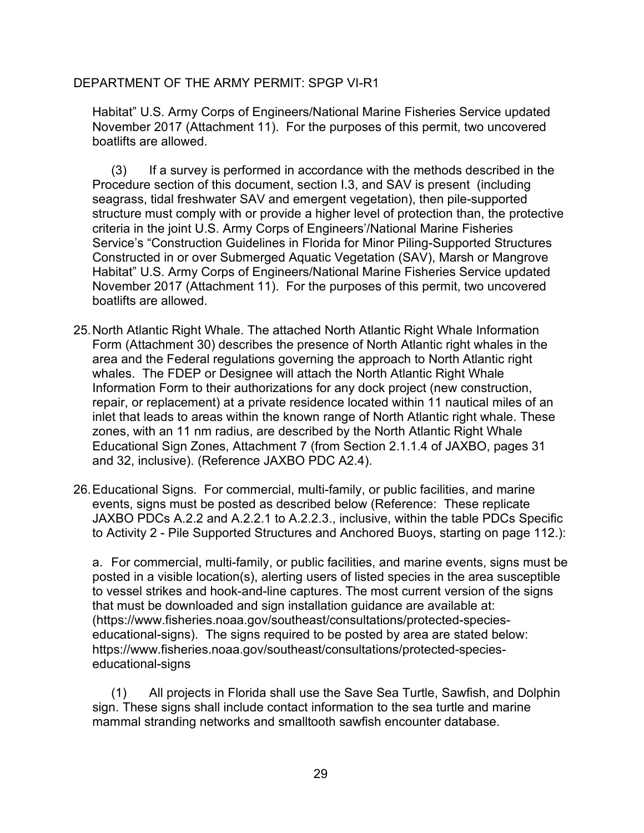Habitat" U.S. Army Corps of Engineers/National Marine Fisheries Service updated November 2017 (Attachment 11). For the purposes of this permit, two uncovered boatlifts are allowed.

(3) If a survey is performed in accordance with the methods described in the Procedure section of this document, section I.3, and SAV is present (including seagrass, tidal freshwater SAV and emergent vegetation), then pile-supported structure must comply with or provide a higher level of protection than, the protective criteria in the joint U.S. Army Corps of Engineers'/National Marine Fisheries Service's "Construction Guidelines in Florida for Minor Piling-Supported Structures Constructed in or over Submerged Aquatic Vegetation (SAV), Marsh or Mangrove Habitat" U.S. Army Corps of Engineers/National Marine Fisheries Service updated November 2017 (Attachment 11). For the purposes of this permit, two uncovered boatlifts are allowed.

- 25.North Atlantic Right Whale. The attached North Atlantic Right Whale Information Form (Attachment 30) describes the presence of North Atlantic right whales in the area and the Federal regulations governing the approach to North Atlantic right whales. The FDEP or Designee will attach the North Atlantic Right Whale Information Form to their authorizations for any dock project (new construction, repair, or replacement) at a private residence located within 11 nautical miles of an inlet that leads to areas within the known range of North Atlantic right whale. These zones, with an 11 nm radius, are described by the North Atlantic Right Whale Educational Sign Zones, Attachment 7 (from Section 2.1.1.4 of JAXBO, pages 31 and 32, inclusive). (Reference JAXBO PDC A2.4).
- 26.Educational Signs. For commercial, multi-family, or public facilities, and marine events, signs must be posted as described below (Reference: These replicate JAXBO PDCs A.2.2 and A.2.2.1 to A.2.2.3., inclusive, within the table PDCs Specific to Activity 2 - Pile Supported Structures and Anchored Buoys, starting on page 112.):

a. For commercial, multi-family, or public facilities, and marine events, signs must be posted in a visible location(s), alerting users of listed species in the area susceptible to vessel strikes and hook-and-line captures. The most current version of the signs that must be downloaded and sign installation guidance are available at: (https://www.fisheries.noaa.gov/southeast/consultations/protected-specieseducational-signs). The signs required to be posted by area are stated below: https://www.fisheries.noaa.gov/southeast/consultations/protected-specieseducational-signs

(1) All projects in Florida shall use the Save Sea Turtle, Sawfish, and Dolphin sign. These signs shall include contact information to the sea turtle and marine mammal stranding networks and smalltooth sawfish encounter database.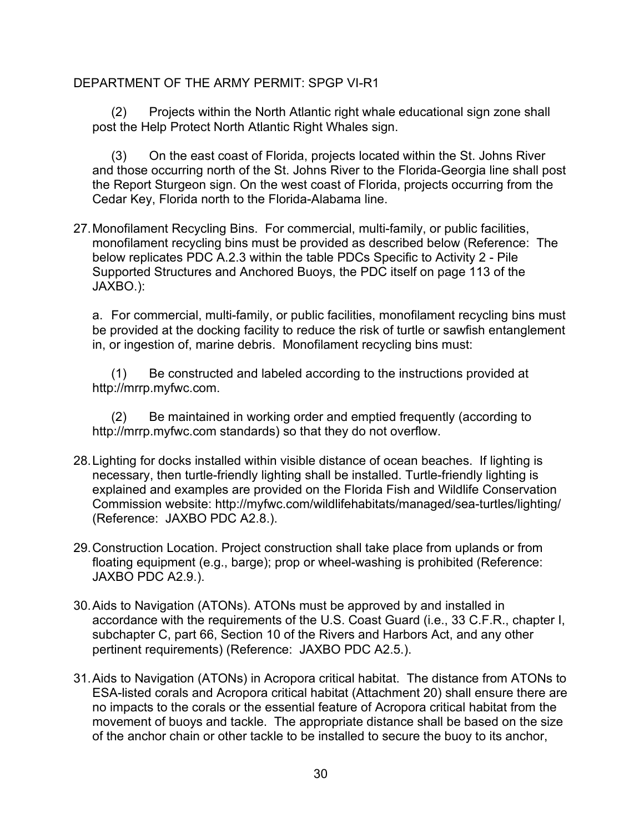(2) Projects within the North Atlantic right whale educational sign zone shall post the Help Protect North Atlantic Right Whales sign.

(3) On the east coast of Florida, projects located within the St. Johns River and those occurring north of the St. Johns River to the Florida-Georgia line shall post the Report Sturgeon sign. On the west coast of Florida, projects occurring from the Cedar Key, Florida north to the Florida-Alabama line.

27.Monofilament Recycling Bins. For commercial, multi-family, or public facilities, monofilament recycling bins must be provided as described below (Reference: The below replicates PDC A.2.3 within the table PDCs Specific to Activity 2 - Pile Supported Structures and Anchored Buoys, the PDC itself on page 113 of the JAXBO.):

a. For commercial, multi-family, or public facilities, monofilament recycling bins must be provided at the docking facility to reduce the risk of turtle or sawfish entanglement in, or ingestion of, marine debris. Monofilament recycling bins must:

(1) Be constructed and labeled according to the instructions provided at http://mrrp.myfwc.com.

(2) Be maintained in working order and emptied frequently (according to http://mrrp.myfwc.com standards) so that they do not overflow.

- 28.Lighting for docks installed within visible distance of ocean beaches. If lighting is necessary, then turtle-friendly lighting shall be installed. Turtle-friendly lighting is explained and examples are provided on the Florida Fish and Wildlife Conservation Commission website: http://myfwc.com/wildlifehabitats/managed/sea-turtles/lighting/ (Reference: JAXBO PDC A2.8.).
- 29.Construction Location. Project construction shall take place from uplands or from floating equipment (e.g., barge); prop or wheel-washing is prohibited (Reference: JAXBO PDC A2.9.).
- 30.Aids to Navigation (ATONs). ATONs must be approved by and installed in accordance with the requirements of the U.S. Coast Guard (i.e., 33 C.F.R., chapter I, subchapter C, part 66, Section 10 of the Rivers and Harbors Act, and any other pertinent requirements) (Reference: JAXBO PDC A2.5.).
- 31.Aids to Navigation (ATONs) in Acropora critical habitat. The distance from ATONs to ESA-listed corals and Acropora critical habitat (Attachment 20) shall ensure there are no impacts to the corals or the essential feature of Acropora critical habitat from the movement of buoys and tackle. The appropriate distance shall be based on the size of the anchor chain or other tackle to be installed to secure the buoy to its anchor,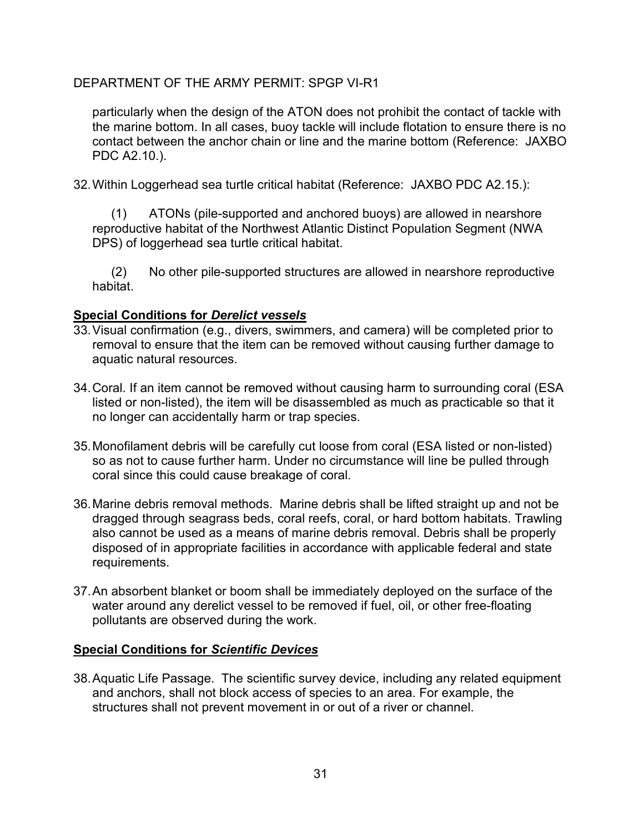particularly when the design of the ATON does not prohibit the contact of tackle with the marine bottom. In all cases, buoy tackle will include flotation to ensure there is no contact between the anchor chain or line and the marine bottom (Reference: JAXBO PDC A2.10.).

32.Within Loggerhead sea turtle critical habitat (Reference: JAXBO PDC A2.15.):

(1) ATONs (pile-supported and anchored buoys) are allowed in nearshore reproductive habitat of the Northwest Atlantic Distinct Population Segment (NWA DPS) of loggerhead sea turtle critical habitat.

(2) No other pile-supported structures are allowed in nearshore reproductive habitat.

# **Special Conditions for** *Derelict vessels*

- 33.Visual confirmation (e.g., divers, swimmers, and camera) will be completed prior to removal to ensure that the item can be removed without causing further damage to aquatic natural resources.
- 34.Coral. If an item cannot be removed without causing harm to surrounding coral (ESA listed or non-listed), the item will be disassembled as much as practicable so that it no longer can accidentally harm or trap species.
- 35.Monofilament debris will be carefully cut loose from coral (ESA listed or non-listed) so as not to cause further harm. Under no circumstance will line be pulled through coral since this could cause breakage of coral.
- 36.Marine debris removal methods. Marine debris shall be lifted straight up and not be dragged through seagrass beds, coral reefs, coral, or hard bottom habitats. Trawling also cannot be used as a means of marine debris removal. Debris shall be properly disposed of in appropriate facilities in accordance with applicable federal and state requirements.
- 37.An absorbent blanket or boom shall be immediately deployed on the surface of the water around any derelict vessel to be removed if fuel, oil, or other free-floating pollutants are observed during the work.

# **Special Conditions for** *Scientific Devices*

38.Aquatic Life Passage. The scientific survey device, including any related equipment and anchors, shall not block access of species to an area. For example, the structures shall not prevent movement in or out of a river or channel.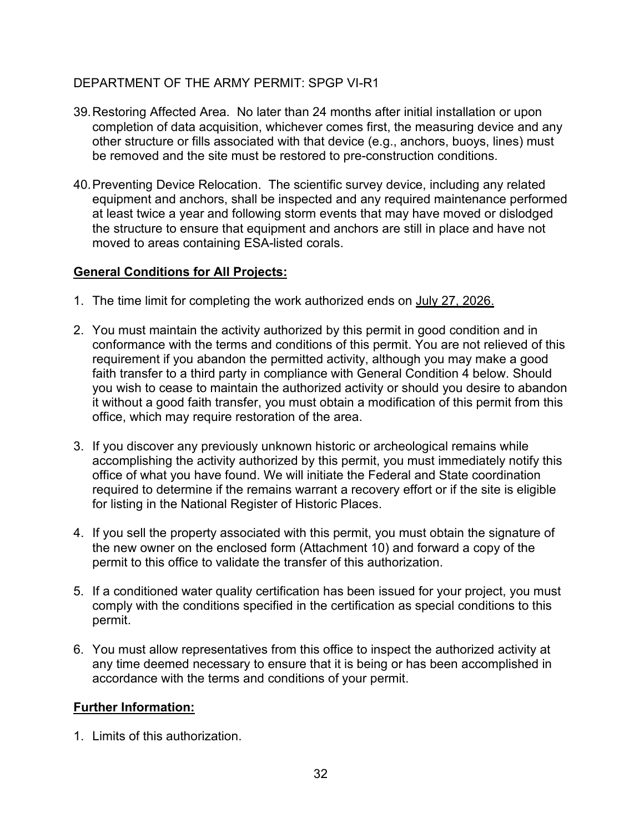- 39.Restoring Affected Area. No later than 24 months after initial installation or upon completion of data acquisition, whichever comes first, the measuring device and any other structure or fills associated with that device (e.g., anchors, buoys, lines) must be removed and the site must be restored to pre-construction conditions.
- 40.Preventing Device Relocation. The scientific survey device, including any related equipment and anchors, shall be inspected and any required maintenance performed at least twice a year and following storm events that may have moved or dislodged the structure to ensure that equipment and anchors are still in place and have not moved to areas containing ESA-listed corals.

# **General Conditions for All Projects:**

- 1. The time limit for completing the work authorized ends on July 27, 2026.
- 2. You must maintain the activity authorized by this permit in good condition and in conformance with the terms and conditions of this permit. You are not relieved of this requirement if you abandon the permitted activity, although you may make a good faith transfer to a third party in compliance with General Condition 4 below. Should you wish to cease to maintain the authorized activity or should you desire to abandon it without a good faith transfer, you must obtain a modification of this permit from this office, which may require restoration of the area.
- 3. If you discover any previously unknown historic or archeological remains while accomplishing the activity authorized by this permit, you must immediately notify this office of what you have found. We will initiate the Federal and State coordination required to determine if the remains warrant a recovery effort or if the site is eligible for listing in the National Register of Historic Places.
- 4. If you sell the property associated with this permit, you must obtain the signature of the new owner on the enclosed form (Attachment 10) and forward a copy of the permit to this office to validate the transfer of this authorization.
- 5. If a conditioned water quality certification has been issued for your project, you must comply with the conditions specified in the certification as special conditions to this permit.
- 6. You must allow representatives from this office to inspect the authorized activity at any time deemed necessary to ensure that it is being or has been accomplished in accordance with the terms and conditions of your permit.

# **Further Information:**

1. Limits of this authorization.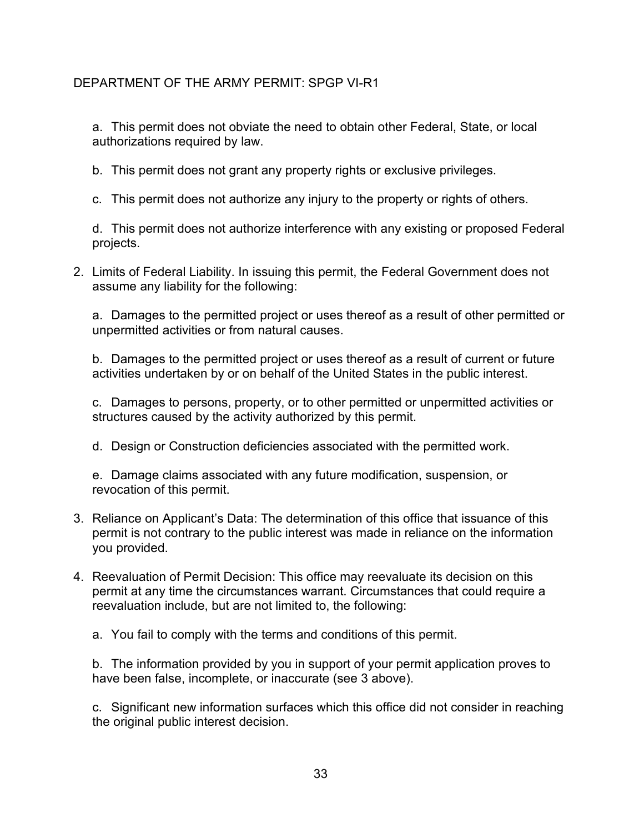a. This permit does not obviate the need to obtain other Federal, State, or local authorizations required by law.

b. This permit does not grant any property rights or exclusive privileges.

c. This permit does not authorize any injury to the property or rights of others.

d. This permit does not authorize interference with any existing or proposed Federal projects.

2. Limits of Federal Liability. In issuing this permit, the Federal Government does not assume any liability for the following:

a. Damages to the permitted project or uses thereof as a result of other permitted or unpermitted activities or from natural causes.

b. Damages to the permitted project or uses thereof as a result of current or future activities undertaken by or on behalf of the United States in the public interest.

c. Damages to persons, property, or to other permitted or unpermitted activities or structures caused by the activity authorized by this permit.

d. Design or Construction deficiencies associated with the permitted work.

e. Damage claims associated with any future modification, suspension, or revocation of this permit.

- 3. Reliance on Applicant's Data: The determination of this office that issuance of this permit is not contrary to the public interest was made in reliance on the information you provided.
- 4. Reevaluation of Permit Decision: This office may reevaluate its decision on this permit at any time the circumstances warrant. Circumstances that could require a reevaluation include, but are not limited to, the following:

a. You fail to comply with the terms and conditions of this permit.

b. The information provided by you in support of your permit application proves to have been false, incomplete, or inaccurate (see 3 above).

c. Significant new information surfaces which this office did not consider in reaching the original public interest decision.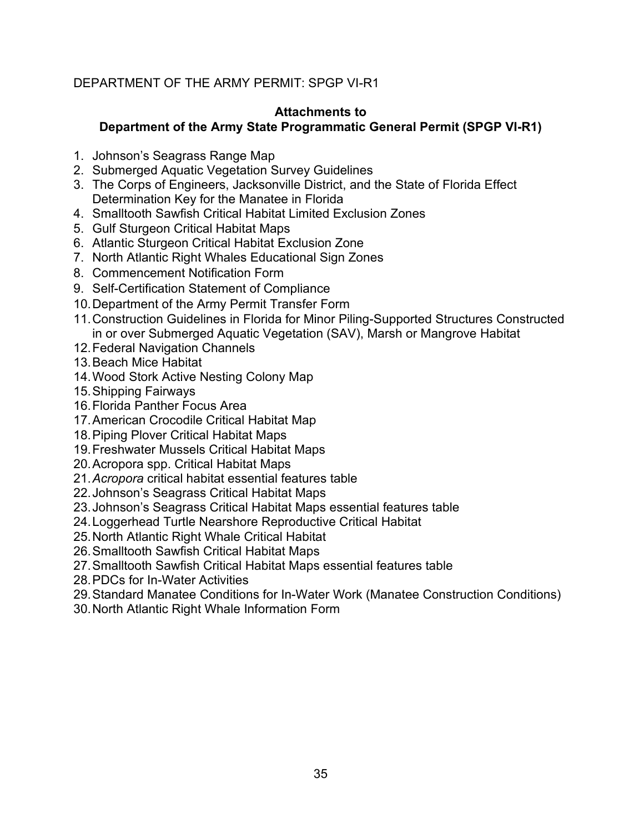#### **Attachments to**

# **Department of the Army State Programmatic General Permit (SPGP VI-R1)**

- 1. Johnson's Seagrass Range Map
- 2. Submerged Aquatic Vegetation Survey Guidelines
- 3. The Corps of Engineers, Jacksonville District, and the State of Florida Effect Determination Key for the Manatee in Florida
- 4. Smalltooth Sawfish Critical Habitat Limited Exclusion Zones
- 5. Gulf Sturgeon Critical Habitat Maps
- 6. Atlantic Sturgeon Critical Habitat Exclusion Zone
- 7. North Atlantic Right Whales Educational Sign Zones
- 8. Commencement Notification Form
- 9. Self-Certification Statement of Compliance
- 10.Department of the Army Permit Transfer Form
- 11.Construction Guidelines in Florida for Minor Piling-Supported Structures Constructed in or over Submerged Aquatic Vegetation (SAV), Marsh or Mangrove Habitat
- 12.Federal Navigation Channels
- 13.Beach Mice Habitat
- 14.Wood Stork Active Nesting Colony Map
- 15.Shipping Fairways
- 16.Florida Panther Focus Area
- 17.American Crocodile Critical Habitat Map
- 18.Piping Plover Critical Habitat Maps
- 19.Freshwater Mussels Critical Habitat Maps
- 20.Acropora spp. Critical Habitat Maps
- 21.*Acropora* critical habitat essential features table
- 22.Johnson's Seagrass Critical Habitat Maps
- 23.Johnson's Seagrass Critical Habitat Maps essential features table
- 24.Loggerhead Turtle Nearshore Reproductive Critical Habitat
- 25.North Atlantic Right Whale Critical Habitat
- 26.Smalltooth Sawfish Critical Habitat Maps
- 27.Smalltooth Sawfish Critical Habitat Maps essential features table
- 28.PDCs for In-Water Activities
- 29.Standard Manatee Conditions for In-Water Work (Manatee Construction Conditions)
- 30.North Atlantic Right Whale Information Form